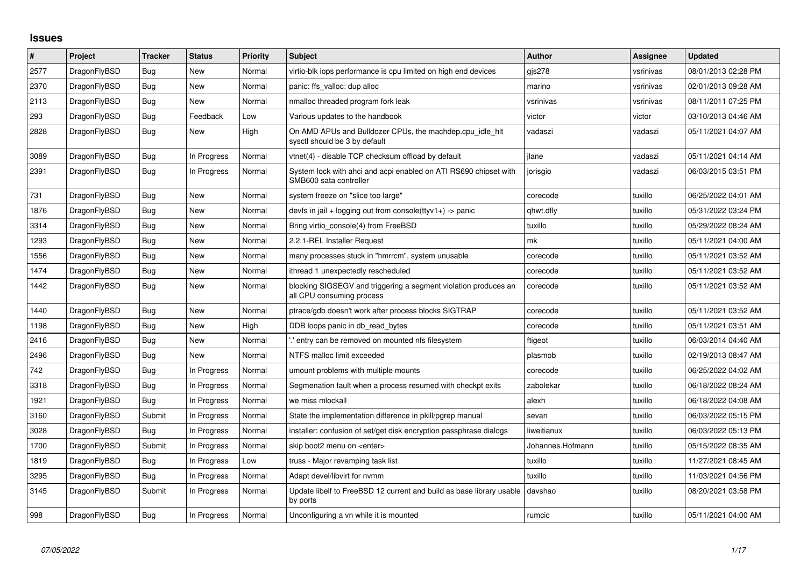## **Issues**

| $\sharp$ | Project      | <b>Tracker</b> | <b>Status</b> | Priority | <b>Subject</b>                                                                               | <b>Author</b>    | Assignee  | <b>Updated</b>      |
|----------|--------------|----------------|---------------|----------|----------------------------------------------------------------------------------------------|------------------|-----------|---------------------|
| 2577     | DragonFlyBSD | <b>Bug</b>     | New           | Normal   | virtio-blk iops performance is cpu limited on high end devices                               | gjs278           | vsrinivas | 08/01/2013 02:28 PM |
| 2370     | DragonFlyBSD | <b>Bug</b>     | New           | Normal   | panic: ffs valloc: dup alloc                                                                 | marino           | vsrinivas | 02/01/2013 09:28 AM |
| 2113     | DragonFlyBSD | <b>Bug</b>     | New           | Normal   | nmalloc threaded program fork leak                                                           | vsrinivas        | vsrinivas | 08/11/2011 07:25 PM |
| 293      | DragonFlyBSD | <b>Bug</b>     | Feedback      | Low      | Various updates to the handbook                                                              | victor           | victor    | 03/10/2013 04:46 AM |
| 2828     | DragonFlyBSD | Bug            | New           | High     | On AMD APUs and Bulldozer CPUs, the machdep.cpu idle hit<br>sysctl should be 3 by default    | vadaszi          | vadaszi   | 05/11/2021 04:07 AM |
| 3089     | DragonFlyBSD | <b>Bug</b>     | In Progress   | Normal   | vtnet(4) - disable TCP checksum offload by default                                           | jlane            | vadaszi   | 05/11/2021 04:14 AM |
| 2391     | DragonFlyBSD | Bug            | In Progress   | Normal   | System lock with ahci and acpi enabled on ATI RS690 chipset with<br>SMB600 sata controller   | jorisgio         | vadaszi   | 06/03/2015 03:51 PM |
| 731      | DragonFlyBSD | <b>Bug</b>     | New           | Normal   | system freeze on "slice too large"                                                           | corecode         | tuxillo   | 06/25/2022 04:01 AM |
| 1876     | DragonFlyBSD | Bug            | <b>New</b>    | Normal   | devfs in jail + logging out from console(ttyv1+) -> panic                                    | qhwt.dfly        | tuxillo   | 05/31/2022 03:24 PM |
| 3314     | DragonFlyBSD | Bug            | New           | Normal   | Bring virtio console(4) from FreeBSD                                                         | tuxillo          | tuxillo   | 05/29/2022 08:24 AM |
| 1293     | DragonFlyBSD | Bug            | <b>New</b>    | Normal   | 2.2.1-REL Installer Request                                                                  | mk               | tuxillo   | 05/11/2021 04:00 AM |
| 1556     | DragonFlyBSD | <b>Bug</b>     | New           | Normal   | many processes stuck in "hmrrcm", system unusable                                            | corecode         | tuxillo   | 05/11/2021 03:52 AM |
| 1474     | DragonFlyBSD | <b>Bug</b>     | New           | Normal   | ithread 1 unexpectedly rescheduled                                                           | corecode         | tuxillo   | 05/11/2021 03:52 AM |
| 1442     | DragonFlyBSD | Bug            | New           | Normal   | blocking SIGSEGV and triggering a segment violation produces an<br>all CPU consuming process | corecode         | tuxillo   | 05/11/2021 03:52 AM |
| 1440     | DragonFlyBSD | <b>Bug</b>     | <b>New</b>    | Normal   | ptrace/gdb doesn't work after process blocks SIGTRAP                                         | corecode         | tuxillo   | 05/11/2021 03:52 AM |
| 1198     | DragonFlyBSD | Bug            | New           | High     | DDB loops panic in db read bytes                                                             | corecode         | tuxillo   | 05/11/2021 03:51 AM |
| 2416     | DragonFlyBSD | Bug            | New           | Normal   | ".' entry can be removed on mounted nfs filesystem                                           | ftigeot          | tuxillo   | 06/03/2014 04:40 AM |
| 2496     | DragonFlyBSD | Bug            | New           | Normal   | NTFS malloc limit exceeded                                                                   | plasmob          | tuxillo   | 02/19/2013 08:47 AM |
| 742      | DragonFlyBSD | Bug            | In Progress   | Normal   | umount problems with multiple mounts                                                         | corecode         | tuxillo   | 06/25/2022 04:02 AM |
| 3318     | DragonFlyBSD | Bug            | In Progress   | Normal   | Segmenation fault when a process resumed with checkpt exits                                  | zabolekar        | tuxillo   | 06/18/2022 08:24 AM |
| 1921     | DragonFlyBSD | <b>Bug</b>     | In Progress   | Normal   | we miss mlockall                                                                             | alexh            | tuxillo   | 06/18/2022 04:08 AM |
| 3160     | DragonFlyBSD | Submit         | In Progress   | Normal   | State the implementation difference in pkill/pgrep manual                                    | sevan            | tuxillo   | 06/03/2022 05:15 PM |
| 3028     | DragonFlyBSD | <b>Bug</b>     | In Progress   | Normal   | installer: confusion of set/get disk encryption passphrase dialogs                           | liweitianux      | tuxillo   | 06/03/2022 05:13 PM |
| 1700     | DragonFlyBSD | Submit         | In Progress   | Normal   | skip boot2 menu on <enter></enter>                                                           | Johannes.Hofmann | tuxillo   | 05/15/2022 08:35 AM |
| 1819     | DragonFlyBSD | <b>Bug</b>     | In Progress   | Low      | truss - Major revamping task list                                                            | tuxillo          | tuxillo   | 11/27/2021 08:45 AM |
| 3295     | DragonFlyBSD | Bug            | In Progress   | Normal   | Adapt devel/libvirt for nymm                                                                 | tuxillo          | tuxillo   | 11/03/2021 04:56 PM |
| 3145     | DragonFlyBSD | Submit         | In Progress   | Normal   | Update libelf to FreeBSD 12 current and build as base library usable<br>by ports             | davshao          | tuxillo   | 08/20/2021 03:58 PM |
| 998      | DragonFlyBSD | Bug            | In Progress   | Normal   | Unconfiguring a vn while it is mounted                                                       | rumcic           | tuxillo   | 05/11/2021 04:00 AM |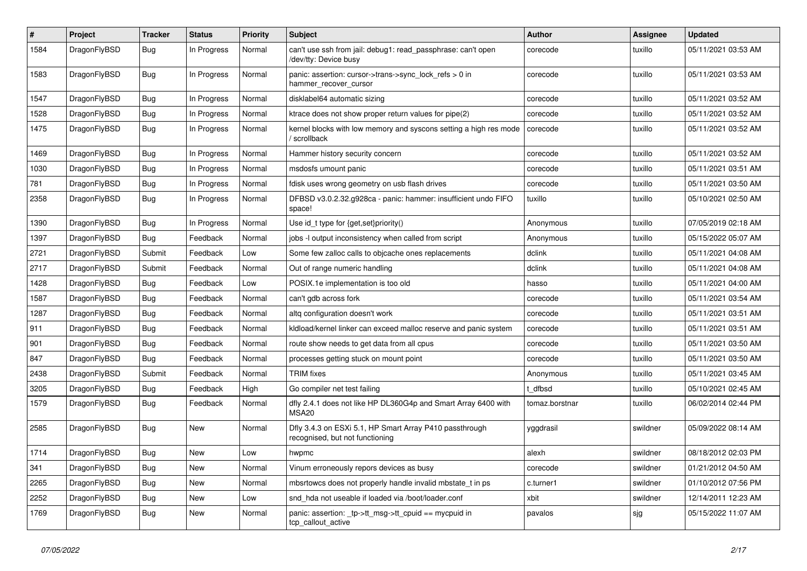| $\sharp$ | Project      | <b>Tracker</b> | <b>Status</b> | <b>Priority</b> | <b>Subject</b>                                                                             | Author         | <b>Assignee</b> | <b>Updated</b>      |
|----------|--------------|----------------|---------------|-----------------|--------------------------------------------------------------------------------------------|----------------|-----------------|---------------------|
| 1584     | DragonFlyBSD | Bug            | In Progress   | Normal          | can't use ssh from jail: debug1: read_passphrase: can't open<br>/dev/tty: Device busy      | corecode       | tuxillo         | 05/11/2021 03:53 AM |
| 1583     | DragonFlyBSD | Bug            | In Progress   | Normal          | panic: assertion: cursor->trans->sync_lock_refs > 0 in<br>hammer_recover_cursor            | corecode       | tuxillo         | 05/11/2021 03:53 AM |
| 1547     | DragonFlyBSD | Bug            | In Progress   | Normal          | disklabel64 automatic sizing                                                               | corecode       | tuxillo         | 05/11/2021 03:52 AM |
| 1528     | DragonFlyBSD | Bug            | In Progress   | Normal          | ktrace does not show proper return values for pipe(2)                                      | corecode       | tuxillo         | 05/11/2021 03:52 AM |
| 1475     | DragonFlyBSD | Bug            | In Progress   | Normal          | kernel blocks with low memory and syscons setting a high res mode<br>/ scrollback          | corecode       | tuxillo         | 05/11/2021 03:52 AM |
| 1469     | DragonFlyBSD | Bug            | In Progress   | Normal          | Hammer history security concern                                                            | corecode       | tuxillo         | 05/11/2021 03:52 AM |
| 1030     | DragonFlyBSD | <b>Bug</b>     | In Progress   | Normal          | msdosfs umount panic                                                                       | corecode       | tuxillo         | 05/11/2021 03:51 AM |
| 781      | DragonFlyBSD | <b>Bug</b>     | In Progress   | Normal          | fdisk uses wrong geometry on usb flash drives                                              | corecode       | tuxillo         | 05/11/2021 03:50 AM |
| 2358     | DragonFlyBSD | Bug            | In Progress   | Normal          | DFBSD v3.0.2.32.g928ca - panic: hammer: insufficient undo FIFO<br>space!                   | tuxillo        | tuxillo         | 05/10/2021 02:50 AM |
| 1390     | DragonFlyBSD | Bug            | In Progress   | Normal          | Use id_t type for {get,set}priority()                                                      | Anonymous      | tuxillo         | 07/05/2019 02:18 AM |
| 1397     | DragonFlyBSD | Bug            | Feedback      | Normal          | jobs -I output inconsistency when called from script                                       | Anonymous      | tuxillo         | 05/15/2022 05:07 AM |
| 2721     | DragonFlyBSD | Submit         | Feedback      | Low             | Some few zalloc calls to objcache ones replacements                                        | dclink         | tuxillo         | 05/11/2021 04:08 AM |
| 2717     | DragonFlyBSD | Submit         | Feedback      | Normal          | Out of range numeric handling                                                              | dclink         | tuxillo         | 05/11/2021 04:08 AM |
| 1428     | DragonFlyBSD | Bug            | Feedback      | Low             | POSIX.1e implementation is too old                                                         | hasso          | tuxillo         | 05/11/2021 04:00 AM |
| 1587     | DragonFlyBSD | <b>Bug</b>     | Feedback      | Normal          | can't gdb across fork                                                                      | corecode       | tuxillo         | 05/11/2021 03:54 AM |
| 1287     | DragonFlyBSD | Bug            | Feedback      | Normal          | altg configuration doesn't work                                                            | corecode       | tuxillo         | 05/11/2021 03:51 AM |
| 911      | DragonFlyBSD | <b>Bug</b>     | Feedback      | Normal          | kidload/kernel linker can exceed malloc reserve and panic system                           | corecode       | tuxillo         | 05/11/2021 03:51 AM |
| 901      | DragonFlyBSD | Bug            | Feedback      | Normal          | route show needs to get data from all cpus                                                 | corecode       | tuxillo         | 05/11/2021 03:50 AM |
| 847      | DragonFlyBSD | <b>Bug</b>     | Feedback      | Normal          | processes getting stuck on mount point                                                     | corecode       | tuxillo         | 05/11/2021 03:50 AM |
| 2438     | DragonFlyBSD | Submit         | Feedback      | Normal          | <b>TRIM</b> fixes                                                                          | Anonymous      | tuxillo         | 05/11/2021 03:45 AM |
| 3205     | DragonFlyBSD | <b>Bug</b>     | Feedback      | High            | Go compiler net test failing                                                               | t_dfbsd        | tuxillo         | 05/10/2021 02:45 AM |
| 1579     | DragonFlyBSD | <b>Bug</b>     | Feedback      | Normal          | dfly 2.4.1 does not like HP DL360G4p and Smart Array 6400 with<br>MSA20                    | tomaz.borstnar | tuxillo         | 06/02/2014 02:44 PM |
| 2585     | DragonFlyBSD | <b>Bug</b>     | New           | Normal          | Dfly 3.4.3 on ESXi 5.1, HP Smart Array P410 passthrough<br>recognised, but not functioning | yggdrasil      | swildner        | 05/09/2022 08:14 AM |
| 1714     | DragonFlyBSD | <b>Bug</b>     | <b>New</b>    | Low             | hwpmc                                                                                      | alexh          | swildner        | 08/18/2012 02:03 PM |
| 341      | DragonFlyBSD | Bug            | New           | Normal          | Vinum erroneously repors devices as busy                                                   | corecode       | swildner        | 01/21/2012 04:50 AM |
| 2265     | DragonFlyBSD | <b>Bug</b>     | New           | Normal          | mbsrtowcs does not properly handle invalid mbstate_t in ps                                 | c.turner1      | swildner        | 01/10/2012 07:56 PM |
| 2252     | DragonFlyBSD | <b>Bug</b>     | New           | Low             | snd_hda not useable if loaded via /boot/loader.conf                                        | xbit           | swildner        | 12/14/2011 12:23 AM |
| 1769     | DragonFlyBSD | Bug            | New           | Normal          | panic: assertion: _tp->tt_msg->tt_cpuid == mycpuid in<br>tcp_callout_active                | pavalos        | sjg             | 05/15/2022 11:07 AM |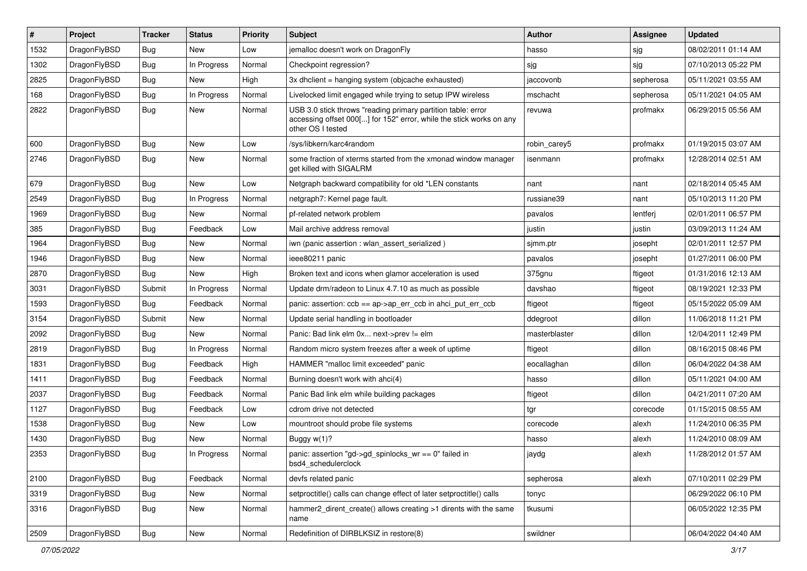| #    | Project      | <b>Tracker</b> | <b>Status</b> | <b>Priority</b> | <b>Subject</b>                                                                                                                                           | <b>Author</b> | Assignee  | <b>Updated</b>      |
|------|--------------|----------------|---------------|-----------------|----------------------------------------------------------------------------------------------------------------------------------------------------------|---------------|-----------|---------------------|
| 1532 | DragonFlyBSD | Bug            | <b>New</b>    | Low             | jemalloc doesn't work on DragonFly                                                                                                                       | hasso         | sjg       | 08/02/2011 01:14 AM |
| 1302 | DragonFlyBSD | <b>Bug</b>     | In Progress   | Normal          | Checkpoint regression?                                                                                                                                   | sjg           | sjg       | 07/10/2013 05:22 PM |
| 2825 | DragonFlyBSD | <b>Bug</b>     | <b>New</b>    | High            | 3x dhclient = hanging system (objcache exhausted)                                                                                                        | jaccovonb     | sepherosa | 05/11/2021 03:55 AM |
| 168  | DragonFlyBSD | Bug            | In Progress   | Normal          | Livelocked limit engaged while trying to setup IPW wireless                                                                                              | mschacht      | sepherosa | 05/11/2021 04:05 AM |
| 2822 | DragonFlyBSD | Bug            | <b>New</b>    | Normal          | USB 3.0 stick throws "reading primary partition table: error<br>accessing offset 000[] for 152" error, while the stick works on any<br>other OS I tested | revuwa        | profmakx  | 06/29/2015 05:56 AM |
| 600  | DragonFlyBSD | <b>Bug</b>     | <b>New</b>    | Low             | /sys/libkern/karc4random                                                                                                                                 | robin carey5  | profmakx  | 01/19/2015 03:07 AM |
| 2746 | DragonFlyBSD | Bug            | New           | Normal          | some fraction of xterms started from the xmonad window manager<br>get killed with SIGALRM                                                                | isenmann      | profmakx  | 12/28/2014 02:51 AM |
| 679  | DragonFlyBSD | <b>Bug</b>     | <b>New</b>    | Low             | Netgraph backward compatibility for old *LEN constants                                                                                                   | nant          | nant      | 02/18/2014 05:45 AM |
| 2549 | DragonFlyBSD | Bug            | In Progress   | Normal          | netgraph7: Kernel page fault.                                                                                                                            | russiane39    | nant      | 05/10/2013 11:20 PM |
| 1969 | DragonFlyBSD | <b>Bug</b>     | <b>New</b>    | Normal          | pf-related network problem                                                                                                                               | pavalos       | lentferj  | 02/01/2011 06:57 PM |
| 385  | DragonFlyBSD | Bug            | Feedback      | Low             | Mail archive address removal                                                                                                                             | justin        | justin    | 03/09/2013 11:24 AM |
| 1964 | DragonFlyBSD | Bug            | <b>New</b>    | Normal          | iwn (panic assertion : wlan_assert_serialized)                                                                                                           | sjmm.ptr      | josepht   | 02/01/2011 12:57 PM |
| 1946 | DragonFlyBSD | <b>Bug</b>     | New           | Normal          | ieee80211 panic                                                                                                                                          | pavalos       | josepht   | 01/27/2011 06:00 PM |
| 2870 | DragonFlyBSD | Bug            | <b>New</b>    | High            | Broken text and icons when glamor acceleration is used                                                                                                   | 375gnu        | ftigeot   | 01/31/2016 12:13 AM |
| 3031 | DragonFlyBSD | Submit         | In Progress   | Normal          | Update drm/radeon to Linux 4.7.10 as much as possible                                                                                                    | davshao       | ftigeot   | 08/19/2021 12:33 PM |
| 1593 | DragonFlyBSD | Bug            | Feedback      | Normal          | panic: assertion: $ccb = ap > ap$ err $ccb$ in ahci put err $ccb$                                                                                        | ftigeot       | ftigeot   | 05/15/2022 05:09 AM |
| 3154 | DragonFlyBSD | Submit         | <b>New</b>    | Normal          | Update serial handling in bootloader                                                                                                                     | ddegroot      | dillon    | 11/06/2018 11:21 PM |
| 2092 | DragonFlyBSD | Bug            | New           | Normal          | Panic: Bad link elm 0x next->prev != elm                                                                                                                 | masterblaster | dillon    | 12/04/2011 12:49 PM |
| 2819 | DragonFlyBSD | <b>Bug</b>     | In Progress   | Normal          | Random micro system freezes after a week of uptime                                                                                                       | ftigeot       | dillon    | 08/16/2015 08:46 PM |
| 1831 | DragonFlyBSD | <b>Bug</b>     | Feedback      | High            | HAMMER "malloc limit exceeded" panic                                                                                                                     | eocallaghan   | dillon    | 06/04/2022 04:38 AM |
| 1411 | DragonFlyBSD | <b>Bug</b>     | Feedback      | Normal          | Burning doesn't work with ahci(4)                                                                                                                        | hasso         | dillon    | 05/11/2021 04:00 AM |
| 2037 | DragonFlyBSD | <b>Bug</b>     | Feedback      | Normal          | Panic Bad link elm while building packages                                                                                                               | ftigeot       | dillon    | 04/21/2011 07:20 AM |
| 1127 | DragonFlyBSD | Bug            | Feedback      | Low             | cdrom drive not detected                                                                                                                                 | tgr           | corecode  | 01/15/2015 08:55 AM |
| 1538 | DragonFlyBSD | <b>Bug</b>     | <b>New</b>    | Low             | mountroot should probe file systems                                                                                                                      | corecode      | alexh     | 11/24/2010 06:35 PM |
| 1430 | DragonFlyBSD | <b>Bug</b>     | <b>New</b>    | Normal          | Buggy w(1)?                                                                                                                                              | hasso         | alexh     | 11/24/2010 08:09 AM |
| 2353 | DragonFlyBSD | <b>Bug</b>     | In Progress   | Normal          | panic: assertion "gd->gd_spinlocks_wr == 0" failed in<br>bsd4_schedulerclock                                                                             | jaydg         | alexh     | 11/28/2012 01:57 AM |
| 2100 | DragonFlyBSD | <b>Bug</b>     | Feedback      | Normal          | devfs related panic                                                                                                                                      | sepherosa     | alexh     | 07/10/2011 02:29 PM |
| 3319 | DragonFlyBSD | <b>Bug</b>     | New           | Normal          | setproctitle() calls can change effect of later setproctitle() calls                                                                                     | tonyc         |           | 06/29/2022 06:10 PM |
| 3316 | DragonFlyBSD | <b>Bug</b>     | New           | Normal          | hammer2 dirent create() allows creating >1 dirents with the same<br>name                                                                                 | tkusumi       |           | 06/05/2022 12:35 PM |
| 2509 | DragonFlyBSD | <b>Bug</b>     | New           | Normal          | Redefinition of DIRBLKSIZ in restore(8)                                                                                                                  | swildner      |           | 06/04/2022 04:40 AM |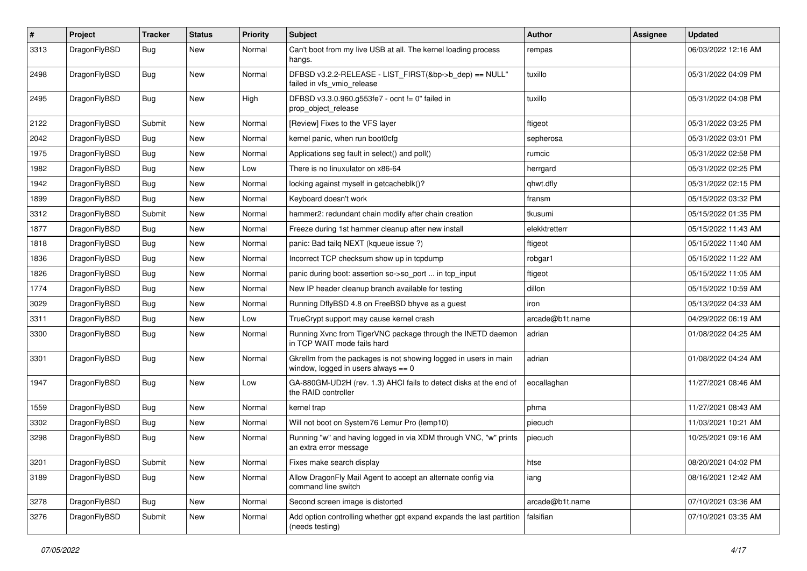| #    | Project      | <b>Tracker</b> | <b>Status</b> | <b>Priority</b> | Subject                                                                                                   | Author          | Assignee | <b>Updated</b>      |
|------|--------------|----------------|---------------|-----------------|-----------------------------------------------------------------------------------------------------------|-----------------|----------|---------------------|
| 3313 | DragonFlyBSD | Bug            | <b>New</b>    | Normal          | Can't boot from my live USB at all. The kernel loading process<br>hangs.                                  | rempas          |          | 06/03/2022 12:16 AM |
| 2498 | DragonFlyBSD | Bug            | <b>New</b>    | Normal          | DFBSD v3.2.2-RELEASE - LIST_FIRST(&bp->b_dep) == NULL"<br>failed in vfs vmio release                      | tuxillo         |          | 05/31/2022 04:09 PM |
| 2495 | DragonFlyBSD | Bug            | <b>New</b>    | High            | DFBSD v3.3.0.960.g553fe7 - ocnt != 0" failed in<br>prop object release                                    | tuxillo         |          | 05/31/2022 04:08 PM |
| 2122 | DragonFlyBSD | Submit         | <b>New</b>    | Normal          | [Review] Fixes to the VFS layer                                                                           | ftigeot         |          | 05/31/2022 03:25 PM |
| 2042 | DragonFlyBSD | Bug            | New           | Normal          | kernel panic, when run boot0cfg                                                                           | sepherosa       |          | 05/31/2022 03:01 PM |
| 1975 | DragonFlyBSD | Bug            | New           | Normal          | Applications seg fault in select() and poll()                                                             | rumcic          |          | 05/31/2022 02:58 PM |
| 1982 | DragonFlyBSD | Bug            | <b>New</b>    | Low             | There is no linuxulator on x86-64                                                                         | herrgard        |          | 05/31/2022 02:25 PM |
| 1942 | DragonFlyBSD | <b>Bug</b>     | New           | Normal          | locking against myself in getcacheblk()?                                                                  | qhwt.dfly       |          | 05/31/2022 02:15 PM |
| 1899 | DragonFlyBSD | Bug            | New           | Normal          | Keyboard doesn't work                                                                                     | fransm          |          | 05/15/2022 03:32 PM |
| 3312 | DragonFlyBSD | Submit         | New           | Normal          | hammer2: redundant chain modify after chain creation                                                      | tkusumi         |          | 05/15/2022 01:35 PM |
| 1877 | DragonFlyBSD | <b>Bug</b>     | New           | Normal          | Freeze during 1st hammer cleanup after new install                                                        | elekktretterr   |          | 05/15/2022 11:43 AM |
| 1818 | DragonFlyBSD | Bug            | New           | Normal          | panic: Bad tailq NEXT (kqueue issue ?)                                                                    | ftigeot         |          | 05/15/2022 11:40 AM |
| 1836 | DragonFlyBSD | <b>Bug</b>     | New           | Normal          | Incorrect TCP checksum show up in tcpdump                                                                 | robgar1         |          | 05/15/2022 11:22 AM |
| 1826 | DragonFlyBSD | Bug            | New           | Normal          | panic during boot: assertion so->so_port  in tcp_input                                                    | ftigeot         |          | 05/15/2022 11:05 AM |
| 1774 | DragonFlyBSD | <b>Bug</b>     | New           | Normal          | New IP header cleanup branch available for testing                                                        | dillon          |          | 05/15/2022 10:59 AM |
| 3029 | DragonFlyBSD | <b>Bug</b>     | New           | Normal          | Running DflyBSD 4.8 on FreeBSD bhyve as a guest                                                           | iron            |          | 05/13/2022 04:33 AM |
| 3311 | DragonFlyBSD | Bug            | <b>New</b>    | Low             | TrueCrypt support may cause kernel crash                                                                  | arcade@b1t.name |          | 04/29/2022 06:19 AM |
| 3300 | DragonFlyBSD | <b>Bug</b>     | New           | Normal          | Running Xvnc from TigerVNC package through the INETD daemon<br>in TCP WAIT mode fails hard                | adrian          |          | 01/08/2022 04:25 AM |
| 3301 | DragonFlyBSD | <b>Bug</b>     | <b>New</b>    | Normal          | Gkrellm from the packages is not showing logged in users in main<br>window, logged in users always $== 0$ | adrian          |          | 01/08/2022 04:24 AM |
| 1947 | DragonFlyBSD | <b>Bug</b>     | <b>New</b>    | Low             | GA-880GM-UD2H (rev. 1.3) AHCI fails to detect disks at the end of<br>the RAID controller                  | eocallaghan     |          | 11/27/2021 08:46 AM |
| 1559 | DragonFlyBSD | <b>Bug</b>     | <b>New</b>    | Normal          | kernel trap                                                                                               | phma            |          | 11/27/2021 08:43 AM |
| 3302 | DragonFlyBSD | Bug            | New           | Normal          | Will not boot on System76 Lemur Pro (lemp10)                                                              | piecuch         |          | 11/03/2021 10:21 AM |
| 3298 | DragonFlyBSD | Bug            | New           | Normal          | Running "w" and having logged in via XDM through VNC, "w" prints<br>an extra error message                | piecuch         |          | 10/25/2021 09:16 AM |
| 3201 | DragonFlyBSD | Submit         | <b>New</b>    | Normal          | Fixes make search display                                                                                 | htse            |          | 08/20/2021 04:02 PM |
| 3189 | DragonFlyBSD | <b>Bug</b>     | New           | Normal          | Allow DragonFly Mail Agent to accept an alternate config via<br>command line switch                       | iang            |          | 08/16/2021 12:42 AM |
| 3278 | DragonFlyBSD | <b>Bug</b>     | New           | Normal          | Second screen image is distorted                                                                          | arcade@b1t.name |          | 07/10/2021 03:36 AM |
| 3276 | DragonFlyBSD | Submit         | New           | Normal          | Add option controlling whether gpt expand expands the last partition<br>(needs testing)                   | falsifian       |          | 07/10/2021 03:35 AM |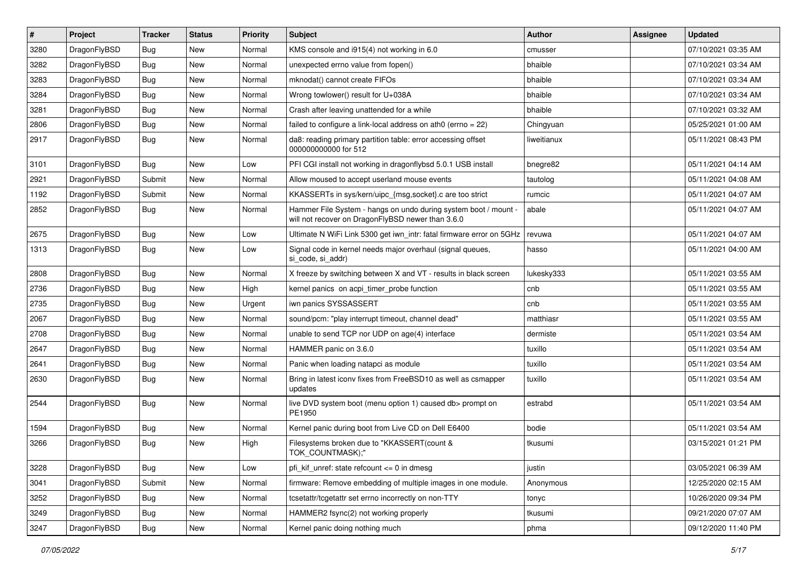| $\vert$ # | Project      | <b>Tracker</b> | <b>Status</b> | <b>Priority</b> | Subject                                                                                                              | Author      | Assignee | <b>Updated</b>      |
|-----------|--------------|----------------|---------------|-----------------|----------------------------------------------------------------------------------------------------------------------|-------------|----------|---------------------|
| 3280      | DragonFlyBSD | <b>Bug</b>     | New           | Normal          | KMS console and i915(4) not working in 6.0                                                                           | cmusser     |          | 07/10/2021 03:35 AM |
| 3282      | DragonFlyBSD | <b>Bug</b>     | New           | Normal          | unexpected errno value from fopen()                                                                                  | bhaible     |          | 07/10/2021 03:34 AM |
| 3283      | DragonFlyBSD | <b>Bug</b>     | New           | Normal          | mknodat() cannot create FIFOs                                                                                        | bhaible     |          | 07/10/2021 03:34 AM |
| 3284      | DragonFlyBSD | <b>Bug</b>     | New           | Normal          | Wrong towlower() result for U+038A                                                                                   | bhaible     |          | 07/10/2021 03:34 AM |
| 3281      | DragonFlyBSD | <b>Bug</b>     | <b>New</b>    | Normal          | Crash after leaving unattended for a while                                                                           | bhaible     |          | 07/10/2021 03:32 AM |
| 2806      | DragonFlyBSD | <b>Bug</b>     | <b>New</b>    | Normal          | failed to configure a link-local address on ath $0$ (errno = 22)                                                     | Chingyuan   |          | 05/25/2021 01:00 AM |
| 2917      | DragonFlyBSD | <b>Bug</b>     | New           | Normal          | da8: reading primary partition table: error accessing offset<br>000000000000 for 512                                 | liweitianux |          | 05/11/2021 08:43 PM |
| 3101      | DragonFlyBSD | <b>Bug</b>     | <b>New</b>    | Low             | PFI CGI install not working in dragonflybsd 5.0.1 USB install                                                        | bnegre82    |          | 05/11/2021 04:14 AM |
| 2921      | DragonFlyBSD | Submit         | <b>New</b>    | Normal          | Allow moused to accept userland mouse events                                                                         | tautolog    |          | 05/11/2021 04:08 AM |
| 1192      | DragonFlyBSD | Submit         | New           | Normal          | KKASSERTs in sys/kern/uipc_{msg,socket}.c are too strict                                                             | rumcic      |          | 05/11/2021 04:07 AM |
| 2852      | DragonFlyBSD | Bug            | New           | Normal          | Hammer File System - hangs on undo during system boot / mount -<br>will not recover on DragonFlyBSD newer than 3.6.0 | abale       |          | 05/11/2021 04:07 AM |
| 2675      | DragonFlyBSD | <b>Bug</b>     | New           | Low             | Ultimate N WiFi Link 5300 get iwn_intr: fatal firmware error on 5GHz                                                 | revuwa      |          | 05/11/2021 04:07 AM |
| 1313      | DragonFlyBSD | <b>Bug</b>     | New           | Low             | Signal code in kernel needs major overhaul (signal queues,<br>si_code, si_addr)                                      | hasso       |          | 05/11/2021 04:00 AM |
| 2808      | DragonFlyBSD | <b>Bug</b>     | <b>New</b>    | Normal          | X freeze by switching between X and VT - results in black screen                                                     | lukesky333  |          | 05/11/2021 03:55 AM |
| 2736      | DragonFlyBSD | <b>Bug</b>     | <b>New</b>    | High            | kernel panics on acpi timer probe function                                                                           | cnb         |          | 05/11/2021 03:55 AM |
| 2735      | DragonFlyBSD | <b>Bug</b>     | New           | Urgent          | iwn panics SYSSASSERT                                                                                                | cnb         |          | 05/11/2021 03:55 AM |
| 2067      | DragonFlyBSD | <b>Bug</b>     | <b>New</b>    | Normal          | sound/pcm: "play interrupt timeout, channel dead"                                                                    | matthiasr   |          | 05/11/2021 03:55 AM |
| 2708      | DragonFlyBSD | <b>Bug</b>     | New           | Normal          | unable to send TCP nor UDP on age(4) interface                                                                       | dermiste    |          | 05/11/2021 03:54 AM |
| 2647      | DragonFlyBSD | <b>Bug</b>     | New           | Normal          | HAMMER panic on 3.6.0                                                                                                | tuxillo     |          | 05/11/2021 03:54 AM |
| 2641      | DragonFlyBSD | <b>Bug</b>     | <b>New</b>    | Normal          | Panic when loading natapci as module                                                                                 | tuxillo     |          | 05/11/2021 03:54 AM |
| 2630      | DragonFlyBSD | <b>Bug</b>     | New           | Normal          | Bring in latest iconv fixes from FreeBSD10 as well as csmapper<br>updates                                            | tuxillo     |          | 05/11/2021 03:54 AM |
| 2544      | DragonFlyBSD | <b>Bug</b>     | New           | Normal          | live DVD system boot (menu option 1) caused db> prompt on<br>PE1950                                                  | estrabd     |          | 05/11/2021 03:54 AM |
| 1594      | DragonFlyBSD | <b>Bug</b>     | <b>New</b>    | Normal          | Kernel panic during boot from Live CD on Dell E6400                                                                  | bodie       |          | 05/11/2021 03:54 AM |
| 3266      | DragonFlyBSD | <b>Bug</b>     | New           | High            | Filesystems broken due to "KKASSERT(count &<br>TOK_COUNTMASK);"                                                      | tkusumi     |          | 03/15/2021 01:21 PM |
| 3228      | DragonFlyBSD | Bug            | New           | Low             | pfi_kif_unref: state refcount <= 0 in dmesg                                                                          | justin      |          | 03/05/2021 06:39 AM |
| 3041      | DragonFlyBSD | Submit         | New           | Normal          | firmware: Remove embedding of multiple images in one module.                                                         | Anonymous   |          | 12/25/2020 02:15 AM |
| 3252      | DragonFlyBSD | <b>Bug</b>     | New           | Normal          | tcsetattr/tcgetattr set errno incorrectly on non-TTY                                                                 | tonyc       |          | 10/26/2020 09:34 PM |
| 3249      | DragonFlyBSD | <b>Bug</b>     | <b>New</b>    | Normal          | HAMMER2 fsync(2) not working properly                                                                                | tkusumi     |          | 09/21/2020 07:07 AM |
| 3247      | DragonFlyBSD | <b>Bug</b>     | New           | Normal          | Kernel panic doing nothing much                                                                                      | phma        |          | 09/12/2020 11:40 PM |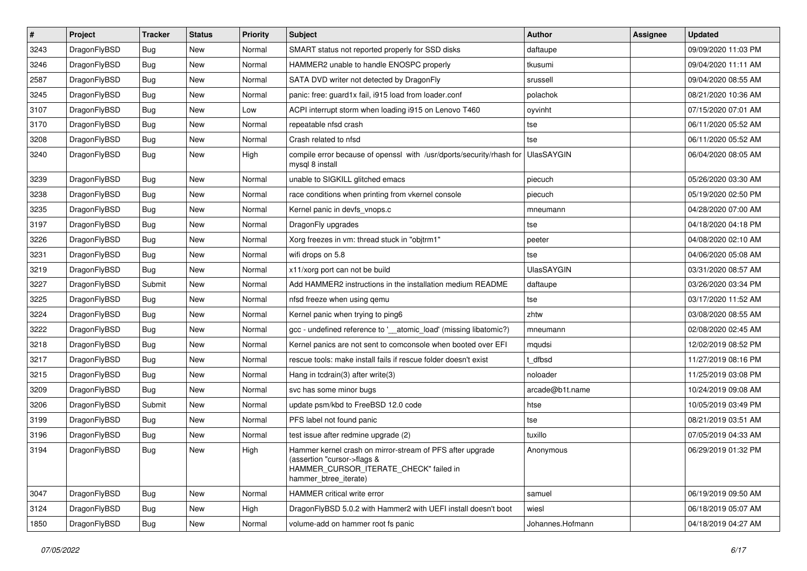| $\sharp$ | Project      | <b>Tracker</b> | <b>Status</b> | <b>Priority</b> | Subject                                                                                                                                                     | Author            | Assignee | <b>Updated</b>      |
|----------|--------------|----------------|---------------|-----------------|-------------------------------------------------------------------------------------------------------------------------------------------------------------|-------------------|----------|---------------------|
| 3243     | DragonFlyBSD | <b>Bug</b>     | New           | Normal          | SMART status not reported properly for SSD disks                                                                                                            | daftaupe          |          | 09/09/2020 11:03 PM |
| 3246     | DragonFlyBSD | <b>Bug</b>     | New           | Normal          | HAMMER2 unable to handle ENOSPC properly                                                                                                                    | tkusumi           |          | 09/04/2020 11:11 AM |
| 2587     | DragonFlyBSD | <b>Bug</b>     | <b>New</b>    | Normal          | SATA DVD writer not detected by DragonFly                                                                                                                   | srussell          |          | 09/04/2020 08:55 AM |
| 3245     | DragonFlyBSD | <b>Bug</b>     | <b>New</b>    | Normal          | panic: free: guard1x fail, i915 load from loader.conf                                                                                                       | polachok          |          | 08/21/2020 10:36 AM |
| 3107     | DragonFlyBSD | Bug            | <b>New</b>    | Low             | ACPI interrupt storm when loading i915 on Lenovo T460                                                                                                       | oyvinht           |          | 07/15/2020 07:01 AM |
| 3170     | DragonFlyBSD | <b>Bug</b>     | <b>New</b>    | Normal          | repeatable nfsd crash                                                                                                                                       | tse               |          | 06/11/2020 05:52 AM |
| 3208     | DragonFlyBSD | Bug            | New           | Normal          | Crash related to nfsd                                                                                                                                       | tse               |          | 06/11/2020 05:52 AM |
| 3240     | DragonFlyBSD | Bug            | <b>New</b>    | High            | compile error because of openssl with /usr/dports/security/rhash for<br>mysql 8 install                                                                     | <b>UlasSAYGIN</b> |          | 06/04/2020 08:05 AM |
| 3239     | DragonFlyBSD | Bug            | <b>New</b>    | Normal          | unable to SIGKILL glitched emacs                                                                                                                            | piecuch           |          | 05/26/2020 03:30 AM |
| 3238     | DragonFlyBSD | <b>Bug</b>     | <b>New</b>    | Normal          | race conditions when printing from vkernel console                                                                                                          | piecuch           |          | 05/19/2020 02:50 PM |
| 3235     | DragonFlyBSD | Bug            | <b>New</b>    | Normal          | Kernel panic in devfs vnops.c                                                                                                                               | mneumann          |          | 04/28/2020 07:00 AM |
| 3197     | DragonFlyBSD | <b>Bug</b>     | New           | Normal          | DragonFly upgrades                                                                                                                                          | tse               |          | 04/18/2020 04:18 PM |
| 3226     | DragonFlyBSD | Bug            | <b>New</b>    | Normal          | Xorg freezes in vm: thread stuck in "objtrm1"                                                                                                               | peeter            |          | 04/08/2020 02:10 AM |
| 3231     | DragonFlyBSD | Bug            | New           | Normal          | wifi drops on 5.8                                                                                                                                           | tse               |          | 04/06/2020 05:08 AM |
| 3219     | DragonFlyBSD | Bug            | New           | Normal          | x11/xorg port can not be build                                                                                                                              | <b>UlasSAYGIN</b> |          | 03/31/2020 08:57 AM |
| 3227     | DragonFlyBSD | Submit         | New           | Normal          | Add HAMMER2 instructions in the installation medium README                                                                                                  | daftaupe          |          | 03/26/2020 03:34 PM |
| 3225     | DragonFlyBSD | Bug            | <b>New</b>    | Normal          | nfsd freeze when using qemu                                                                                                                                 | tse               |          | 03/17/2020 11:52 AM |
| 3224     | DragonFlyBSD | Bug            | New           | Normal          | Kernel panic when trying to ping6                                                                                                                           | zhtw              |          | 03/08/2020 08:55 AM |
| 3222     | DragonFlyBSD | <b>Bug</b>     | New           | Normal          | gcc - undefined reference to '__atomic_load' (missing libatomic?)                                                                                           | mneumann          |          | 02/08/2020 02:45 AM |
| 3218     | DragonFlyBSD | <b>Bug</b>     | <b>New</b>    | Normal          | Kernel panics are not sent to comconsole when booted over EFI                                                                                               | mqudsi            |          | 12/02/2019 08:52 PM |
| 3217     | DragonFlyBSD | <b>Bug</b>     | <b>New</b>    | Normal          | rescue tools: make install fails if rescue folder doesn't exist                                                                                             | t dfbsd           |          | 11/27/2019 08:16 PM |
| 3215     | DragonFlyBSD | <b>Bug</b>     | <b>New</b>    | Normal          | Hang in tcdrain(3) after write(3)                                                                                                                           | noloader          |          | 11/25/2019 03:08 PM |
| 3209     | DragonFlyBSD | <b>Bug</b>     | New           | Normal          | svc has some minor bugs                                                                                                                                     | arcade@b1t.name   |          | 10/24/2019 09:08 AM |
| 3206     | DragonFlyBSD | Submit         | New           | Normal          | update psm/kbd to FreeBSD 12.0 code                                                                                                                         | htse              |          | 10/05/2019 03:49 PM |
| 3199     | DragonFlyBSD | <b>Bug</b>     | New           | Normal          | PFS label not found panic                                                                                                                                   | tse               |          | 08/21/2019 03:51 AM |
| 3196     | DragonFlyBSD | <b>Bug</b>     | <b>New</b>    | Normal          | test issue after redmine upgrade (2)                                                                                                                        | tuxillo           |          | 07/05/2019 04:33 AM |
| 3194     | DragonFlyBSD | <b>Bug</b>     | <b>New</b>    | High            | Hammer kernel crash on mirror-stream of PFS after upgrade<br>(assertion "cursor->flags &<br>HAMMER_CURSOR_ITERATE_CHECK" failed in<br>hammer_btree_iterate) | Anonymous         |          | 06/29/2019 01:32 PM |
| 3047     | DragonFlyBSD | Bug            | <b>New</b>    | Normal          | HAMMER critical write error                                                                                                                                 | samuel            |          | 06/19/2019 09:50 AM |
| 3124     | DragonFlyBSD | <b>Bug</b>     | New           | High            | DragonFlyBSD 5.0.2 with Hammer2 with UEFI install doesn't boot                                                                                              | wiesl             |          | 06/18/2019 05:07 AM |
| 1850     | DragonFlyBSD | <b>Bug</b>     | New           | Normal          | volume-add on hammer root fs panic                                                                                                                          | Johannes.Hofmann  |          | 04/18/2019 04:27 AM |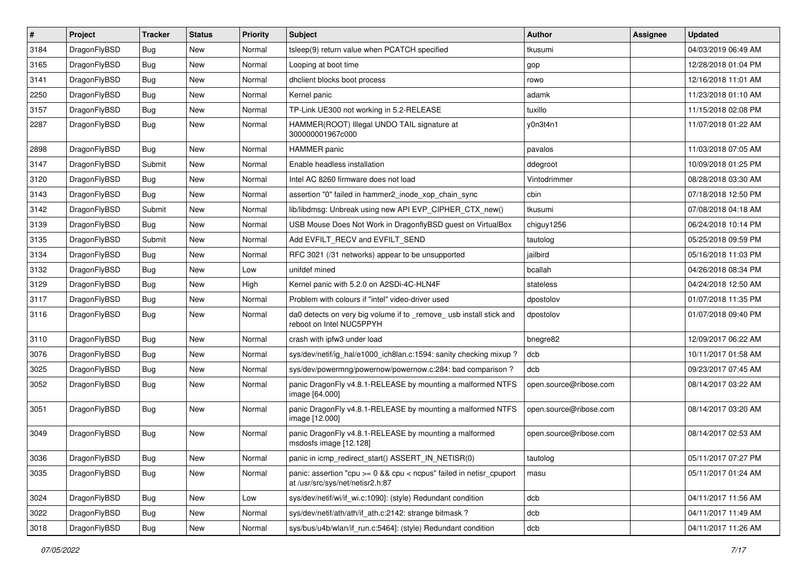| #    | Project      | <b>Tracker</b> | <b>Status</b> | <b>Priority</b> | Subject                                                                                                 | Author                 | Assignee | <b>Updated</b>      |
|------|--------------|----------------|---------------|-----------------|---------------------------------------------------------------------------------------------------------|------------------------|----------|---------------------|
| 3184 | DragonFlyBSD | Bug            | <b>New</b>    | Normal          | tsleep(9) return value when PCATCH specified                                                            | tkusumi                |          | 04/03/2019 06:49 AM |
| 3165 | DragonFlyBSD | Bug            | <b>New</b>    | Normal          | Looping at boot time                                                                                    | gop                    |          | 12/28/2018 01:04 PM |
| 3141 | DragonFlyBSD | <b>Bug</b>     | New           | Normal          | dhclient blocks boot process                                                                            | rowo                   |          | 12/16/2018 11:01 AM |
| 2250 | DragonFlyBSD | Bug            | <b>New</b>    | Normal          | Kernel panic                                                                                            | adamk                  |          | 11/23/2018 01:10 AM |
| 3157 | DragonFlyBSD | <b>Bug</b>     | <b>New</b>    | Normal          | TP-Link UE300 not working in 5.2-RELEASE                                                                | tuxillo                |          | 11/15/2018 02:08 PM |
| 2287 | DragonFlyBSD | Bug            | New           | Normal          | HAMMER(ROOT) Illegal UNDO TAIL signature at<br>300000001967c000                                         | y0n3t4n1               |          | 11/07/2018 01:22 AM |
| 2898 | DragonFlyBSD | Bug            | <b>New</b>    | Normal          | HAMMER panic                                                                                            | pavalos                |          | 11/03/2018 07:05 AM |
| 3147 | DragonFlyBSD | Submit         | <b>New</b>    | Normal          | Enable headless installation                                                                            | ddegroot               |          | 10/09/2018 01:25 PM |
| 3120 | DragonFlyBSD | Bug            | <b>New</b>    | Normal          | Intel AC 8260 firmware does not load                                                                    | Vintodrimmer           |          | 08/28/2018 03:30 AM |
| 3143 | DragonFlyBSD | <b>Bug</b>     | New           | Normal          | assertion "0" failed in hammer2 inode xop chain sync                                                    | cbin                   |          | 07/18/2018 12:50 PM |
| 3142 | DragonFlyBSD | Submit         | <b>New</b>    | Normal          | lib/libdmsg: Unbreak using new API EVP_CIPHER_CTX_new()                                                 | tkusumi                |          | 07/08/2018 04:18 AM |
| 3139 | DragonFlyBSD | <b>Bug</b>     | New           | Normal          | USB Mouse Does Not Work in DragonflyBSD guest on VirtualBox                                             | chiguy1256             |          | 06/24/2018 10:14 PM |
| 3135 | DragonFlyBSD | Submit         | <b>New</b>    | Normal          | Add EVFILT_RECV and EVFILT_SEND                                                                         | tautolog               |          | 05/25/2018 09:59 PM |
| 3134 | DragonFlyBSD | <b>Bug</b>     | <b>New</b>    | Normal          | RFC 3021 (/31 networks) appear to be unsupported                                                        | jailbird               |          | 05/16/2018 11:03 PM |
| 3132 | DragonFlyBSD | Bug            | <b>New</b>    | Low             | unifdef mined                                                                                           | bcallah                |          | 04/26/2018 08:34 PM |
| 3129 | DragonFlyBSD | Bug            | <b>New</b>    | High            | Kernel panic with 5.2.0 on A2SDi-4C-HLN4F                                                               | stateless              |          | 04/24/2018 12:50 AM |
| 3117 | DragonFlyBSD | <b>Bug</b>     | New           | Normal          | Problem with colours if "intel" video-driver used                                                       | dpostolov              |          | 01/07/2018 11:35 PM |
| 3116 | DragonFlyBSD | Bug            | <b>New</b>    | Normal          | da0 detects on very big volume if to _remove_ usb install stick and<br>reboot on Intel NUC5PPYH         | dpostolov              |          | 01/07/2018 09:40 PM |
| 3110 | DragonFlyBSD | Bug            | New           | Normal          | crash with ipfw3 under load                                                                             | bnegre82               |          | 12/09/2017 06:22 AM |
| 3076 | DragonFlyBSD | Bug            | <b>New</b>    | Normal          | sys/dev/netif/ig_hal/e1000_ich8lan.c:1594: sanity checking mixup ?                                      | dcb                    |          | 10/11/2017 01:58 AM |
| 3025 | DragonFlyBSD | <b>Bug</b>     | <b>New</b>    | Normal          | sys/dev/powermng/powernow/powernow.c:284: bad comparison?                                               | dcb                    |          | 09/23/2017 07:45 AM |
| 3052 | DragonFlyBSD | <b>Bug</b>     | New           | Normal          | panic DragonFly v4.8.1-RELEASE by mounting a malformed NTFS<br>image [64.000]                           | open.source@ribose.com |          | 08/14/2017 03:22 AM |
| 3051 | DragonFlyBSD | Bug            | New           | Normal          | panic DragonFly v4.8.1-RELEASE by mounting a malformed NTFS<br>image [12.000]                           | open.source@ribose.com |          | 08/14/2017 03:20 AM |
| 3049 | DragonFlyBSD | Bug            | <b>New</b>    | Normal          | panic DragonFly v4.8.1-RELEASE by mounting a malformed<br>msdosfs image [12.128]                        | open.source@ribose.com |          | 08/14/2017 02:53 AM |
| 3036 | DragonFlyBSD | <b>Bug</b>     | New           | Normal          | panic in icmp_redirect_start() ASSERT_IN_NETISR(0)                                                      | tautolog               |          | 05/11/2017 07:27 PM |
| 3035 | DragonFlyBSD | Bug            | New           | Normal          | panic: assertion "cpu >= 0 && cpu < ncpus" failed in netisr_cpuport<br>at /usr/src/sys/net/netisr2.h:87 | masu                   |          | 05/11/2017 01:24 AM |
| 3024 | DragonFlyBSD | <b>Bug</b>     | New           | Low             | sys/dev/netif/wi/if_wi.c:1090]: (style) Redundant condition                                             | dcb                    |          | 04/11/2017 11:56 AM |
| 3022 | DragonFlyBSD | Bug            | New           | Normal          | sys/dev/netif/ath/ath/if ath.c:2142: strange bitmask?                                                   | dcb                    |          | 04/11/2017 11:49 AM |
| 3018 | DragonFlyBSD | <b>Bug</b>     | New           | Normal          | sys/bus/u4b/wlan/if_run.c:5464]: (style) Redundant condition                                            | dcb                    |          | 04/11/2017 11:26 AM |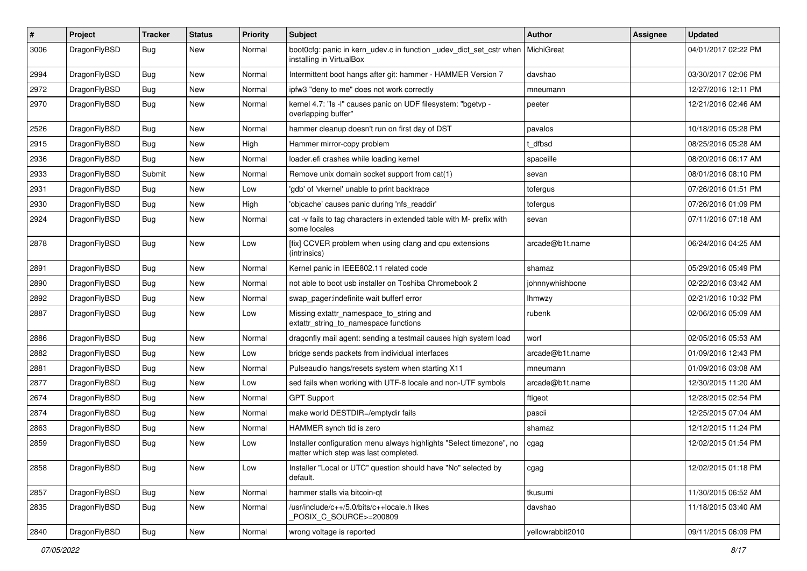| #    | Project      | <b>Tracker</b> | <b>Status</b> | <b>Priority</b> | Subject                                                                                                       | <b>Author</b>    | Assignee | <b>Updated</b>      |
|------|--------------|----------------|---------------|-----------------|---------------------------------------------------------------------------------------------------------------|------------------|----------|---------------------|
| 3006 | DragonFlyBSD | Bug            | <b>New</b>    | Normal          | boot0cfg: panic in kern_udev.c in function _udev_dict_set_cstr when<br>installing in VirtualBox               | MichiGreat       |          | 04/01/2017 02:22 PM |
| 2994 | DragonFlyBSD | <b>Bug</b>     | <b>New</b>    | Normal          | Intermittent boot hangs after git: hammer - HAMMER Version 7                                                  | davshao          |          | 03/30/2017 02:06 PM |
| 2972 | DragonFlyBSD | <b>Bug</b>     | <b>New</b>    | Normal          | ipfw3 "deny to me" does not work correctly                                                                    | mneumann         |          | 12/27/2016 12:11 PM |
| 2970 | DragonFlyBSD | Bug            | <b>New</b>    | Normal          | kernel 4.7: "Is -I" causes panic on UDF filesystem: "bgetvp -<br>overlapping buffer"                          | peeter           |          | 12/21/2016 02:46 AM |
| 2526 | DragonFlyBSD | Bug            | <b>New</b>    | Normal          | hammer cleanup doesn't run on first day of DST                                                                | pavalos          |          | 10/18/2016 05:28 PM |
| 2915 | DragonFlyBSD | <b>Bug</b>     | New           | High            | Hammer mirror-copy problem                                                                                    | : dfbsd          |          | 08/25/2016 05:28 AM |
| 2936 | DragonFlyBSD | <b>Bug</b>     | <b>New</b>    | Normal          | loader.efi crashes while loading kernel                                                                       | spaceille        |          | 08/20/2016 06:17 AM |
| 2933 | DragonFlyBSD | Submit         | <b>New</b>    | Normal          | Remove unix domain socket support from cat(1)                                                                 | sevan            |          | 08/01/2016 08:10 PM |
| 2931 | DragonFlyBSD | Bug            | <b>New</b>    | Low             | 'gdb' of 'vkernel' unable to print backtrace                                                                  | tofergus         |          | 07/26/2016 01:51 PM |
| 2930 | DragonFlyBSD | Bug            | <b>New</b>    | High            | 'objcache' causes panic during 'nfs_readdir'                                                                  | tofergus         |          | 07/26/2016 01:09 PM |
| 2924 | DragonFlyBSD | Bug            | New           | Normal          | cat -v fails to tag characters in extended table with M- prefix with<br>some locales                          | sevan            |          | 07/11/2016 07:18 AM |
| 2878 | DragonFlyBSD | Bug            | <b>New</b>    | Low             | [fix] CCVER problem when using clang and cpu extensions<br>(intrinsics)                                       | arcade@b1t.name  |          | 06/24/2016 04:25 AM |
| 2891 | DragonFlyBSD | Bug            | <b>New</b>    | Normal          | Kernel panic in IEEE802.11 related code                                                                       | shamaz           |          | 05/29/2016 05:49 PM |
| 2890 | DragonFlyBSD | Bug            | <b>New</b>    | Normal          | not able to boot usb installer on Toshiba Chromebook 2                                                        | johnnywhishbone  |          | 02/22/2016 03:42 AM |
| 2892 | DragonFlyBSD | <b>Bug</b>     | New           | Normal          | swap pager:indefinite wait bufferf error                                                                      | Ihmwzy           |          | 02/21/2016 10:32 PM |
| 2887 | DragonFlyBSD | Bug            | <b>New</b>    | Low             | Missing extattr_namespace_to_string and<br>extattr_string_to_namespace functions                              | rubenk           |          | 02/06/2016 05:09 AM |
| 2886 | DragonFlyBSD | Bug            | <b>New</b>    | Normal          | dragonfly mail agent: sending a testmail causes high system load                                              | worf             |          | 02/05/2016 05:53 AM |
| 2882 | DragonFlyBSD | <b>Bug</b>     | <b>New</b>    | Low             | bridge sends packets from individual interfaces                                                               | arcade@b1t.name  |          | 01/09/2016 12:43 PM |
| 2881 | DragonFlyBSD | <b>Bug</b>     | New           | Normal          | Pulseaudio hangs/resets system when starting X11                                                              | mneumann         |          | 01/09/2016 03:08 AM |
| 2877 | DragonFlyBSD | <b>Bug</b>     | <b>New</b>    | Low             | sed fails when working with UTF-8 locale and non-UTF symbols                                                  | arcade@b1t.name  |          | 12/30/2015 11:20 AM |
| 2674 | DragonFlyBSD | Bug            | <b>New</b>    | Normal          | <b>GPT Support</b>                                                                                            | ftigeot          |          | 12/28/2015 02:54 PM |
| 2874 | DragonFlyBSD | <b>Bug</b>     | New           | Normal          | make world DESTDIR=/emptydir fails                                                                            | pascii           |          | 12/25/2015 07:04 AM |
| 2863 | DragonFlyBSD | <b>Bug</b>     | New           | Normal          | HAMMER synch tid is zero                                                                                      | shamaz           |          | 12/12/2015 11:24 PM |
| 2859 | DragonFlyBSD | Bug            | <b>New</b>    | Low             | Installer configuration menu always highlights "Select timezone", no<br>matter which step was last completed. | cgag             |          | 12/02/2015 01:54 PM |
| 2858 | DragonFlyBSD | Bug            | New           | Low             | Installer "Local or UTC" question should have "No" selected by<br>default.                                    | cgag             |          | 12/02/2015 01:18 PM |
| 2857 | DragonFlyBSD | <b>Bug</b>     | New           | Normal          | hammer stalls via bitcoin-qt                                                                                  | tkusumi          |          | 11/30/2015 06:52 AM |
| 2835 | DragonFlyBSD | <b>Bug</b>     | New           | Normal          | /usr/include/c++/5.0/bits/c++locale.h likes<br>POSIX C SOURCE>=200809                                         | davshao          |          | 11/18/2015 03:40 AM |
| 2840 | DragonFlyBSD | Bug            | New           | Normal          | wrong voltage is reported                                                                                     | yellowrabbit2010 |          | 09/11/2015 06:09 PM |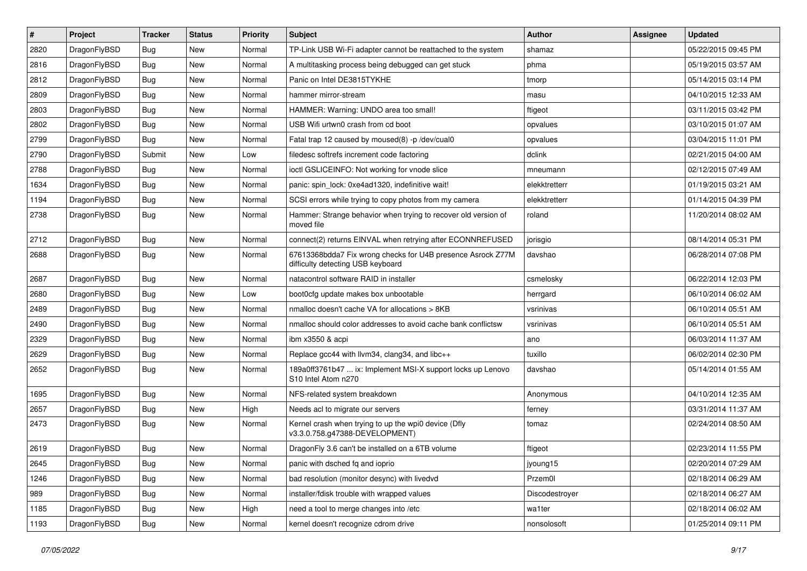| #    | Project      | <b>Tracker</b> | <b>Status</b> | <b>Priority</b> | Subject                                                                                          | <b>Author</b>  | Assignee | <b>Updated</b>      |
|------|--------------|----------------|---------------|-----------------|--------------------------------------------------------------------------------------------------|----------------|----------|---------------------|
| 2820 | DragonFlyBSD | <b>Bug</b>     | New           | Normal          | TP-Link USB Wi-Fi adapter cannot be reattached to the system                                     | shamaz         |          | 05/22/2015 09:45 PM |
| 2816 | DragonFlyBSD | <b>Bug</b>     | <b>New</b>    | Normal          | A multitasking process being debugged can get stuck                                              | phma           |          | 05/19/2015 03:57 AM |
| 2812 | DragonFlyBSD | <b>Bug</b>     | <b>New</b>    | Normal          | Panic on Intel DE3815TYKHE                                                                       | tmorp          |          | 05/14/2015 03:14 PM |
| 2809 | DragonFlyBSD | <b>Bug</b>     | New           | Normal          | hammer mirror-stream                                                                             | masu           |          | 04/10/2015 12:33 AM |
| 2803 | DragonFlyBSD | <b>Bug</b>     | <b>New</b>    | Normal          | HAMMER: Warning: UNDO area too small!                                                            | ftigeot        |          | 03/11/2015 03:42 PM |
| 2802 | DragonFlyBSD | <b>Bug</b>     | New           | Normal          | USB Wifi urtwn0 crash from cd boot                                                               | opvalues       |          | 03/10/2015 01:07 AM |
| 2799 | DragonFlyBSD | <b>Bug</b>     | New           | Normal          | Fatal trap 12 caused by moused(8) -p /dev/cual0                                                  | opvalues       |          | 03/04/2015 11:01 PM |
| 2790 | DragonFlyBSD | Submit         | New           | Low             | filedesc softrefs increment code factoring                                                       | dclink         |          | 02/21/2015 04:00 AM |
| 2788 | DragonFlyBSD | <b>Bug</b>     | New           | Normal          | ioctl GSLICEINFO: Not working for vnode slice                                                    | mneumann       |          | 02/12/2015 07:49 AM |
| 1634 | DragonFlyBSD | <b>Bug</b>     | <b>New</b>    | Normal          | panic: spin_lock: 0xe4ad1320, indefinitive wait!                                                 | elekktretterr  |          | 01/19/2015 03:21 AM |
| 1194 | DragonFlyBSD | <b>Bug</b>     | New           | Normal          | SCSI errors while trying to copy photos from my camera                                           | elekktretterr  |          | 01/14/2015 04:39 PM |
| 2738 | DragonFlyBSD | <b>Bug</b>     | <b>New</b>    | Normal          | Hammer: Strange behavior when trying to recover old version of<br>moved file                     | roland         |          | 11/20/2014 08:02 AM |
| 2712 | DragonFlyBSD | <b>Bug</b>     | New           | Normal          | connect(2) returns EINVAL when retrying after ECONNREFUSED                                       | jorisgio       |          | 08/14/2014 05:31 PM |
| 2688 | DragonFlyBSD | <b>Bug</b>     | New           | Normal          | 67613368bdda7 Fix wrong checks for U4B presence Asrock Z77M<br>difficulty detecting USB keyboard | davshao        |          | 06/28/2014 07:08 PM |
| 2687 | DragonFlyBSD | <b>Bug</b>     | New           | Normal          | natacontrol software RAID in installer                                                           | csmelosky      |          | 06/22/2014 12:03 PM |
| 2680 | DragonFlyBSD | <b>Bug</b>     | <b>New</b>    | Low             | boot0cfg update makes box unbootable                                                             | herrgard       |          | 06/10/2014 06:02 AM |
| 2489 | DragonFlyBSD | Bug            | New           | Normal          | nmalloc doesn't cache VA for allocations > 8KB                                                   | vsrinivas      |          | 06/10/2014 05:51 AM |
| 2490 | DragonFlyBSD | Bug            | New           | Normal          | nmalloc should color addresses to avoid cache bank conflictsw                                    | vsrinivas      |          | 06/10/2014 05:51 AM |
| 2329 | DragonFlyBSD | Bug            | <b>New</b>    | Normal          | ibm x3550 & acpi                                                                                 | ano            |          | 06/03/2014 11:37 AM |
| 2629 | DragonFlyBSD | Bug            | <b>New</b>    | Normal          | Replace gcc44 with llvm34, clang34, and libc++                                                   | tuxillo        |          | 06/02/2014 02:30 PM |
| 2652 | DragonFlyBSD | Bug            | New           | Normal          | 189a0ff3761b47  ix: Implement MSI-X support locks up Lenovo<br>S10 Intel Atom n270               | davshao        |          | 05/14/2014 01:55 AM |
| 1695 | DragonFlyBSD | Bug            | New           | Normal          | NFS-related system breakdown                                                                     | Anonymous      |          | 04/10/2014 12:35 AM |
| 2657 | DragonFlyBSD | Bug            | New           | High            | Needs acl to migrate our servers                                                                 | ferney         |          | 03/31/2014 11:37 AM |
| 2473 | DragonFlyBSD | Bug            | New           | Normal          | Kernel crash when trying to up the wpi0 device (Dfly<br>v3.3.0.758.g47388-DEVELOPMENT)           | tomaz          |          | 02/24/2014 08:50 AM |
| 2619 | DragonFlyBSD | Bug            | New           | Normal          | DragonFly 3.6 can't be installed on a 6TB volume                                                 | ftigeot        |          | 02/23/2014 11:55 PM |
| 2645 | DragonFlyBSD | <b>Bug</b>     | New           | Normal          | panic with dsched fq and ioprio                                                                  | jyoung15       |          | 02/20/2014 07:29 AM |
| 1246 | DragonFlyBSD | <b>Bug</b>     | New           | Normal          | bad resolution (monitor desync) with livedvd                                                     | Przem0l        |          | 02/18/2014 06:29 AM |
| 989  | DragonFlyBSD | <b>Bug</b>     | New           | Normal          | installer/fdisk trouble with wrapped values                                                      | Discodestroyer |          | 02/18/2014 06:27 AM |
| 1185 | DragonFlyBSD | <b>Bug</b>     | New           | High            | need a tool to merge changes into /etc                                                           | wa1ter         |          | 02/18/2014 06:02 AM |
| 1193 | DragonFlyBSD | <b>Bug</b>     | New           | Normal          | kernel doesn't recognize cdrom drive                                                             | nonsolosoft    |          | 01/25/2014 09:11 PM |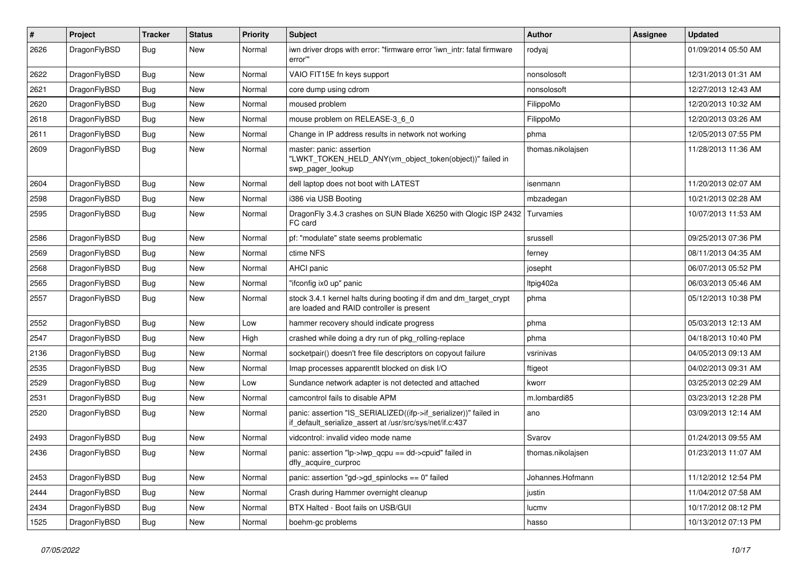| $\sharp$ | Project      | <b>Tracker</b> | <b>Status</b> | <b>Priority</b> | Subject                                                                                                                      | <b>Author</b>     | Assignee | <b>Updated</b>      |
|----------|--------------|----------------|---------------|-----------------|------------------------------------------------------------------------------------------------------------------------------|-------------------|----------|---------------------|
| 2626     | DragonFlyBSD | Bug            | New           | Normal          | iwn driver drops with error: "firmware error 'iwn_intr: fatal firmware<br>error""                                            | rodyaj            |          | 01/09/2014 05:50 AM |
| 2622     | DragonFlyBSD | <b>Bug</b>     | <b>New</b>    | Normal          | VAIO FIT15E fn keys support                                                                                                  | nonsolosoft       |          | 12/31/2013 01:31 AM |
| 2621     | DragonFlyBSD | <b>Bug</b>     | <b>New</b>    | Normal          | core dump using cdrom                                                                                                        | nonsolosoft       |          | 12/27/2013 12:43 AM |
| 2620     | DragonFlyBSD | <b>Bug</b>     | <b>New</b>    | Normal          | moused problem                                                                                                               | FilippoMo         |          | 12/20/2013 10:32 AM |
| 2618     | DragonFlyBSD | <b>Bug</b>     | <b>New</b>    | Normal          | mouse problem on RELEASE-3_6_0                                                                                               | FilippoMo         |          | 12/20/2013 03:26 AM |
| 2611     | DragonFlyBSD | Bug            | <b>New</b>    | Normal          | Change in IP address results in network not working                                                                          | phma              |          | 12/05/2013 07:55 PM |
| 2609     | DragonFlyBSD | Bug            | <b>New</b>    | Normal          | master: panic: assertion<br>"LWKT_TOKEN_HELD_ANY(vm_object_token(object))" failed in<br>swp_pager_lookup                     | thomas.nikolajsen |          | 11/28/2013 11:36 AM |
| 2604     | DragonFlyBSD | <b>Bug</b>     | <b>New</b>    | Normal          | dell laptop does not boot with LATEST                                                                                        | isenmann          |          | 11/20/2013 02:07 AM |
| 2598     | DragonFlyBSD | <b>Bug</b>     | New           | Normal          | i386 via USB Booting                                                                                                         | mbzadegan         |          | 10/21/2013 02:28 AM |
| 2595     | DragonFlyBSD | Bug            | <b>New</b>    | Normal          | DragonFly 3.4.3 crashes on SUN Blade X6250 with Qlogic ISP 2432<br>FC card                                                   | Turvamies         |          | 10/07/2013 11:53 AM |
| 2586     | DragonFlyBSD | Bug            | <b>New</b>    | Normal          | pf: "modulate" state seems problematic                                                                                       | srussell          |          | 09/25/2013 07:36 PM |
| 2569     | DragonFlyBSD | <b>Bug</b>     | <b>New</b>    | Normal          | ctime NFS                                                                                                                    | ferney            |          | 08/11/2013 04:35 AM |
| 2568     | DragonFlyBSD | <b>Bug</b>     | <b>New</b>    | Normal          | <b>AHCI</b> panic                                                                                                            | josepht           |          | 06/07/2013 05:52 PM |
| 2565     | DragonFlyBSD | <b>Bug</b>     | <b>New</b>    | Normal          | "ifconfig ix0 up" panic                                                                                                      | ltpig402a         |          | 06/03/2013 05:46 AM |
| 2557     | DragonFlyBSD | <b>Bug</b>     | <b>New</b>    | Normal          | stock 3.4.1 kernel halts during booting if dm and dm_target_crypt<br>are loaded and RAID controller is present               | phma              |          | 05/12/2013 10:38 PM |
| 2552     | DragonFlyBSD | <b>Bug</b>     | <b>New</b>    | Low             | hammer recovery should indicate progress                                                                                     | phma              |          | 05/03/2013 12:13 AM |
| 2547     | DragonFlyBSD | <b>Bug</b>     | <b>New</b>    | High            | crashed while doing a dry run of pkg rolling-replace                                                                         | phma              |          | 04/18/2013 10:40 PM |
| 2136     | DragonFlyBSD | <b>Bug</b>     | <b>New</b>    | Normal          | socketpair() doesn't free file descriptors on copyout failure                                                                | vsrinivas         |          | 04/05/2013 09:13 AM |
| 2535     | DragonFlyBSD | <b>Bug</b>     | New           | Normal          | Imap processes apparentlt blocked on disk I/O                                                                                | ftigeot           |          | 04/02/2013 09:31 AM |
| 2529     | DragonFlyBSD | <b>Bug</b>     | <b>New</b>    | Low             | Sundance network adapter is not detected and attached                                                                        | kworr             |          | 03/25/2013 02:29 AM |
| 2531     | DragonFlyBSD | <b>Bug</b>     | <b>New</b>    | Normal          | camcontrol fails to disable APM                                                                                              | m.lombardi85      |          | 03/23/2013 12:28 PM |
| 2520     | DragonFlyBSD | <b>Bug</b>     | New           | Normal          | panic: assertion "IS_SERIALIZED((ifp->if_serializer))" failed in<br>if_default_serialize_assert at /usr/src/sys/net/if.c:437 | ano               |          | 03/09/2013 12:14 AM |
| 2493     | DragonFlyBSD | <b>Bug</b>     | <b>New</b>    | Normal          | vidcontrol: invalid video mode name                                                                                          | Svarov            |          | 01/24/2013 09:55 AM |
| 2436     | DragonFlyBSD | Bug            | New           | Normal          | panic: assertion " $lp$ -> $lwp$ gcpu == dd->cpuid" failed in<br>dfly_acquire_curproc                                        | thomas.nikolaisen |          | 01/23/2013 11:07 AM |
| 2453     | DragonFlyBSD | <b>Bug</b>     | New           | Normal          | panic: assertion "gd->gd_spinlocks == $0$ " failed                                                                           | Johannes.Hofmann  |          | 11/12/2012 12:54 PM |
| 2444     | DragonFlyBSD | Bug            | <b>New</b>    | Normal          | Crash during Hammer overnight cleanup                                                                                        | justin            |          | 11/04/2012 07:58 AM |
| 2434     | DragonFlyBSD | <b>Bug</b>     | New           | Normal          | BTX Halted - Boot fails on USB/GUI                                                                                           | lucmv             |          | 10/17/2012 08:12 PM |
| 1525     | DragonFlyBSD | <b>Bug</b>     | New           | Normal          | boehm-gc problems                                                                                                            | hasso             |          | 10/13/2012 07:13 PM |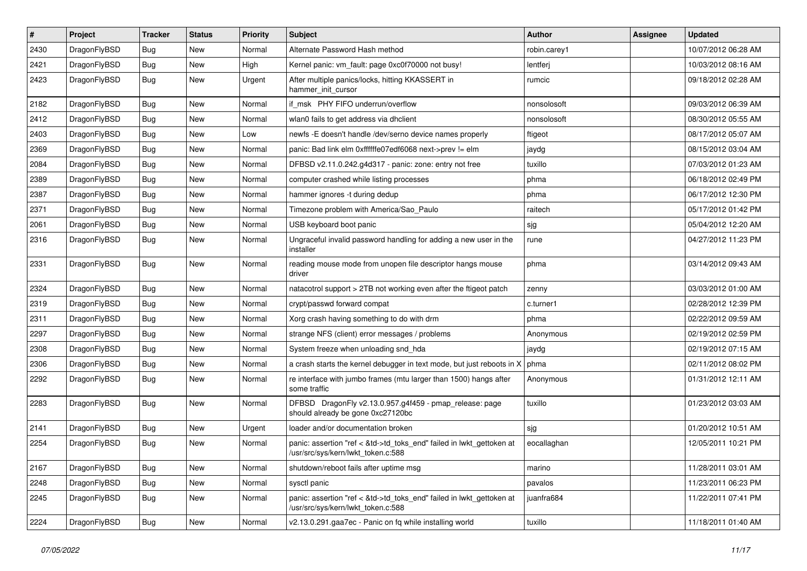| $\sharp$ | Project      | <b>Tracker</b> | <b>Status</b> | <b>Priority</b> | Subject                                                                                                    | <b>Author</b> | Assignee | <b>Updated</b>      |
|----------|--------------|----------------|---------------|-----------------|------------------------------------------------------------------------------------------------------------|---------------|----------|---------------------|
| 2430     | DragonFlyBSD | Bug            | <b>New</b>    | Normal          | Alternate Password Hash method                                                                             | robin.carey1  |          | 10/07/2012 06:28 AM |
| 2421     | DragonFlyBSD | <b>Bug</b>     | New           | High            | Kernel panic: vm_fault: page 0xc0f70000 not busy!                                                          | lentferj      |          | 10/03/2012 08:16 AM |
| 2423     | DragonFlyBSD | Bug            | New           | Urgent          | After multiple panics/locks, hitting KKASSERT in<br>hammer init cursor                                     | rumcic        |          | 09/18/2012 02:28 AM |
| 2182     | DragonFlyBSD | Bug            | New           | Normal          | if msk PHY FIFO underrun/overflow                                                                          | nonsolosoft   |          | 09/03/2012 06:39 AM |
| 2412     | DragonFlyBSD | Bug            | <b>New</b>    | Normal          | wlan0 fails to get address via dhclient                                                                    | nonsolosoft   |          | 08/30/2012 05:55 AM |
| 2403     | DragonFlyBSD | Bug            | <b>New</b>    | Low             | newfs -E doesn't handle /dev/serno device names properly                                                   | ftigeot       |          | 08/17/2012 05:07 AM |
| 2369     | DragonFlyBSD | Bug            | <b>New</b>    | Normal          | panic: Bad link elm 0xffffffe07edf6068 next->prev != elm                                                   | jaydg         |          | 08/15/2012 03:04 AM |
| 2084     | DragonFlyBSD | Bug            | New           | Normal          | DFBSD v2.11.0.242.g4d317 - panic: zone: entry not free                                                     | tuxillo       |          | 07/03/2012 01:23 AM |
| 2389     | DragonFlyBSD | Bug            | <b>New</b>    | Normal          | computer crashed while listing processes                                                                   | phma          |          | 06/18/2012 02:49 PM |
| 2387     | DragonFlyBSD | Bug            | New           | Normal          | hammer ignores -t during dedup                                                                             | phma          |          | 06/17/2012 12:30 PM |
| 2371     | DragonFlyBSD | Bug            | New           | Normal          | Timezone problem with America/Sao_Paulo                                                                    | raitech       |          | 05/17/2012 01:42 PM |
| 2061     | DragonFlyBSD | Bug            | <b>New</b>    | Normal          | USB keyboard boot panic                                                                                    | sjg           |          | 05/04/2012 12:20 AM |
| 2316     | DragonFlyBSD | Bug            | New           | Normal          | Ungraceful invalid password handling for adding a new user in the<br>installer                             | rune          |          | 04/27/2012 11:23 PM |
| 2331     | DragonFlyBSD | Bug            | <b>New</b>    | Normal          | reading mouse mode from unopen file descriptor hangs mouse<br>driver                                       | phma          |          | 03/14/2012 09:43 AM |
| 2324     | DragonFlyBSD | Bug            | <b>New</b>    | Normal          | natacotrol support > 2TB not working even after the ftigeot patch                                          | zenny         |          | 03/03/2012 01:00 AM |
| 2319     | DragonFlyBSD | Bug            | New           | Normal          | crypt/passwd forward compat                                                                                | c.turner1     |          | 02/28/2012 12:39 PM |
| 2311     | DragonFlyBSD | Bug            | <b>New</b>    | Normal          | Xorg crash having something to do with drm                                                                 | phma          |          | 02/22/2012 09:59 AM |
| 2297     | DragonFlyBSD | Bug            | <b>New</b>    | Normal          | strange NFS (client) error messages / problems                                                             | Anonymous     |          | 02/19/2012 02:59 PM |
| 2308     | DragonFlyBSD | Bug            | New           | Normal          | System freeze when unloading snd_hda                                                                       | jaydg         |          | 02/19/2012 07:15 AM |
| 2306     | DragonFlyBSD | Bug            | New           | Normal          | a crash starts the kernel debugger in text mode, but just reboots in X                                     | phma          |          | 02/11/2012 08:02 PM |
| 2292     | DragonFlyBSD | Bug            | New           | Normal          | re interface with jumbo frames (mtu larger than 1500) hangs after<br>some traffic                          | Anonymous     |          | 01/31/2012 12:11 AM |
| 2283     | DragonFlyBSD | <b>Bug</b>     | New           | Normal          | DFBSD DragonFly v2.13.0.957.g4f459 - pmap_release: page<br>should already be gone 0xc27120bc               | tuxillo       |          | 01/23/2012 03:03 AM |
| 2141     | DragonFlyBSD | Bug            | New           | Urgent          | loader and/or documentation broken                                                                         | sjg           |          | 01/20/2012 10:51 AM |
| 2254     | DragonFlyBSD | Bug            | New           | Normal          | panic: assertion "ref < &td->td_toks_end" failed in lwkt_gettoken at<br>/usr/src/sys/kern/lwkt_token.c:588 | eocallaghan   |          | 12/05/2011 10:21 PM |
| 2167     | DragonFlyBSD | <b>Bug</b>     | New           | Normal          | shutdown/reboot fails after uptime msg                                                                     | marino        |          | 11/28/2011 03:01 AM |
| 2248     | DragonFlyBSD | Bug            | New           | Normal          | sysctl panic                                                                                               | pavalos       |          | 11/23/2011 06:23 PM |
| 2245     | DragonFlyBSD | <b>Bug</b>     | New           | Normal          | panic: assertion "ref < &td->td_toks_end" failed in lwkt_gettoken at<br>/usr/src/sys/kern/lwkt_token.c:588 | juanfra684    |          | 11/22/2011 07:41 PM |
| 2224     | DragonFlyBSD | <b>Bug</b>     | New           | Normal          | v2.13.0.291.gaa7ec - Panic on fq while installing world                                                    | tuxillo       |          | 11/18/2011 01:40 AM |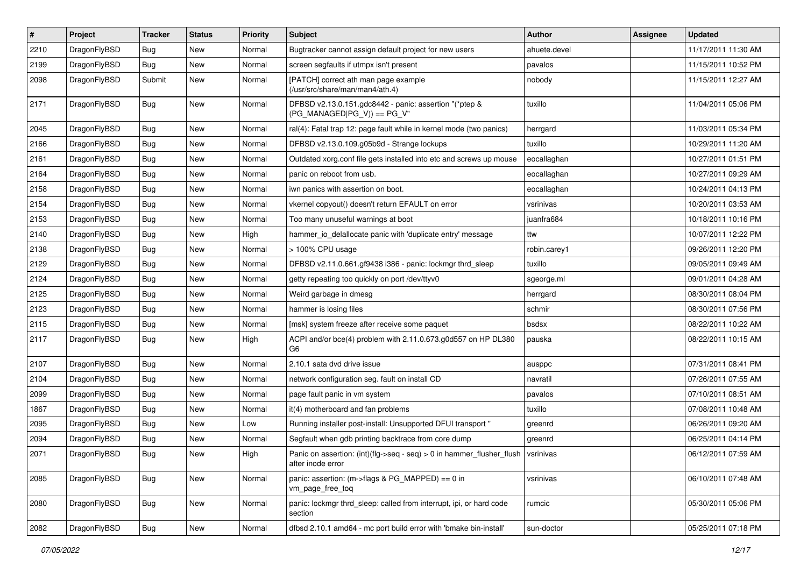| $\sharp$ | Project      | <b>Tracker</b> | <b>Status</b> | <b>Priority</b> | Subject                                                                                                   | Author       | Assignee | <b>Updated</b>      |
|----------|--------------|----------------|---------------|-----------------|-----------------------------------------------------------------------------------------------------------|--------------|----------|---------------------|
| 2210     | DragonFlyBSD | Bug            | <b>New</b>    | Normal          | Bugtracker cannot assign default project for new users                                                    | ahuete.devel |          | 11/17/2011 11:30 AM |
| 2199     | DragonFlyBSD | Bug            | <b>New</b>    | Normal          | screen segfaults if utmpx isn't present                                                                   | pavalos      |          | 11/15/2011 10:52 PM |
| 2098     | DragonFlyBSD | Submit         | New           | Normal          | [PATCH] correct ath man page example<br>(/usr/src/share/man/man4/ath.4)                                   | nobody       |          | 11/15/2011 12:27 AM |
| 2171     | DragonFlyBSD | <b>Bug</b>     | New           | Normal          | DFBSD v2.13.0.151.gdc8442 - panic: assertion "(*ptep &<br>$(PG_MANAGED PG_V)$ == $PG_V"$                  | tuxillo      |          | 11/04/2011 05:06 PM |
| 2045     | DragonFlyBSD | Bug            | <b>New</b>    | Normal          | ral(4): Fatal trap 12: page fault while in kernel mode (two panics)                                       | herrgard     |          | 11/03/2011 05:34 PM |
| 2166     | DragonFlyBSD | Bug            | New           | Normal          | DFBSD v2.13.0.109.g05b9d - Strange lockups                                                                | tuxillo      |          | 10/29/2011 11:20 AM |
| 2161     | DragonFlyBSD | Bug            | New           | Normal          | Outdated xorg.conf file gets installed into etc and screws up mouse                                       | eocallaghan  |          | 10/27/2011 01:51 PM |
| 2164     | DragonFlyBSD | Bug            | <b>New</b>    | Normal          | panic on reboot from usb.                                                                                 | eocallaghan  |          | 10/27/2011 09:29 AM |
| 2158     | DragonFlyBSD | Bug            | New           | Normal          | iwn panics with assertion on boot.                                                                        | eocallaghan  |          | 10/24/2011 04:13 PM |
| 2154     | DragonFlyBSD | Bug            | <b>New</b>    | Normal          | vkernel copyout() doesn't return EFAULT on error                                                          | vsrinivas    |          | 10/20/2011 03:53 AM |
| 2153     | DragonFlyBSD | Bug            | New           | Normal          | Too many unuseful warnings at boot                                                                        | juanfra684   |          | 10/18/2011 10:16 PM |
| 2140     | DragonFlyBSD | Bug            | <b>New</b>    | High            | hammer_io_delallocate panic with 'duplicate entry' message                                                | ttw          |          | 10/07/2011 12:22 PM |
| 2138     | DragonFlyBSD | Bug            | New           | Normal          | > 100% CPU usage                                                                                          | robin.carey1 |          | 09/26/2011 12:20 PM |
| 2129     | DragonFlyBSD | Bug            | <b>New</b>    | Normal          | DFBSD v2.11.0.661.gf9438 i386 - panic: lockmgr thrd_sleep                                                 | tuxillo      |          | 09/05/2011 09:49 AM |
| 2124     | DragonFlyBSD | Bug            | <b>New</b>    | Normal          | getty repeating too quickly on port /dev/ttyv0                                                            | sgeorge.ml   |          | 09/01/2011 04:28 AM |
| 2125     | DragonFlyBSD | Bug            | New           | Normal          | Weird garbage in dmesg                                                                                    | herrgard     |          | 08/30/2011 08:04 PM |
| 2123     | DragonFlyBSD | Bug            | <b>New</b>    | Normal          | hammer is losing files                                                                                    | schmir       |          | 08/30/2011 07:56 PM |
| 2115     | DragonFlyBSD | Bug            | New           | Normal          | [msk] system freeze after receive some paquet                                                             | bsdsx        |          | 08/22/2011 10:22 AM |
| 2117     | DragonFlyBSD | Bug            | <b>New</b>    | High            | ACPI and/or bce(4) problem with 2.11.0.673.g0d557 on HP DL380<br>G <sub>6</sub>                           | pauska       |          | 08/22/2011 10:15 AM |
| 2107     | DragonFlyBSD | Bug            | <b>New</b>    | Normal          | 2.10.1 sata dvd drive issue                                                                               | ausppc       |          | 07/31/2011 08:41 PM |
| 2104     | DragonFlyBSD | Bug            | New           | Normal          | network configuration seg. fault on install CD                                                            | navratil     |          | 07/26/2011 07:55 AM |
| 2099     | DragonFlyBSD | Bug            | New           | Normal          | page fault panic in vm system                                                                             | pavalos      |          | 07/10/2011 08:51 AM |
| 1867     | DragonFlyBSD | Bug            | New           | Normal          | it(4) motherboard and fan problems                                                                        | tuxillo      |          | 07/08/2011 10:48 AM |
| 2095     | DragonFlyBSD | Bug            | <b>New</b>    | Low             | Running installer post-install: Unsupported DFUI transport "                                              | greenrd      |          | 06/26/2011 09:20 AM |
| 2094     | DragonFlyBSD | Bug            | New           | Normal          | Segfault when gdb printing backtrace from core dump                                                       | greenrd      |          | 06/25/2011 04:14 PM |
| 2071     | DragonFlyBSD | i Bug          | New           | High            | Panic on assertion: $(int)(flag->seq - seq) > 0$ in hammer_flusher_flush   vsrinivas<br>after inode error |              |          | 06/12/2011 07:59 AM |
| 2085     | DragonFlyBSD | <b>Bug</b>     | New           | Normal          | panic: assertion: (m->flags & PG_MAPPED) == 0 in<br>vm_page_free_toq                                      | vsrinivas    |          | 06/10/2011 07:48 AM |
| 2080     | DragonFlyBSD | Bug            | New           | Normal          | panic: lockmgr thrd_sleep: called from interrupt, ipi, or hard code<br>section                            | rumcic       |          | 05/30/2011 05:06 PM |
| 2082     | DragonFlyBSD | <b>Bug</b>     | New           | Normal          | dfbsd 2.10.1 amd64 - mc port build error with 'bmake bin-install'                                         | sun-doctor   |          | 05/25/2011 07:18 PM |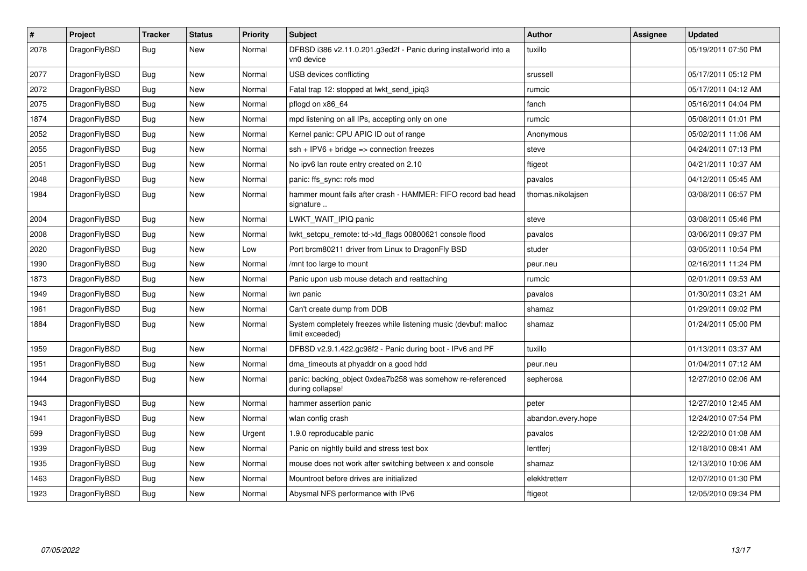| $\vert$ # | Project      | <b>Tracker</b> | <b>Status</b> | <b>Priority</b> | <b>Subject</b>                                                                     | <b>Author</b>      | Assignee | <b>Updated</b>      |
|-----------|--------------|----------------|---------------|-----------------|------------------------------------------------------------------------------------|--------------------|----------|---------------------|
| 2078      | DragonFlyBSD | Bug            | New           | Normal          | DFBSD i386 v2.11.0.201.g3ed2f - Panic during installworld into a<br>vn0 device     | tuxillo            |          | 05/19/2011 07:50 PM |
| 2077      | DragonFlyBSD | <b>Bug</b>     | <b>New</b>    | Normal          | USB devices conflicting                                                            | srussell           |          | 05/17/2011 05:12 PM |
| 2072      | DragonFlyBSD | Bug            | <b>New</b>    | Normal          | Fatal trap 12: stopped at lwkt_send_ipiq3                                          | rumcic             |          | 05/17/2011 04:12 AM |
| 2075      | DragonFlyBSD | Bug            | <b>New</b>    | Normal          | pflogd on x86 64                                                                   | fanch              |          | 05/16/2011 04:04 PM |
| 1874      | DragonFlyBSD | <b>Bug</b>     | <b>New</b>    | Normal          | mpd listening on all IPs, accepting only on one                                    | rumcic             |          | 05/08/2011 01:01 PM |
| 2052      | DragonFlyBSD | Bug            | <b>New</b>    | Normal          | Kernel panic: CPU APIC ID out of range                                             | Anonymous          |          | 05/02/2011 11:06 AM |
| 2055      | DragonFlyBSD | Bug            | New           | Normal          | $\varepsilon$ sh + IPV6 + bridge => connection freezes                             | steve              |          | 04/24/2011 07:13 PM |
| 2051      | DragonFlyBSD | Bug            | <b>New</b>    | Normal          | No ipv6 lan route entry created on 2.10                                            | ftigeot            |          | 04/21/2011 10:37 AM |
| 2048      | DragonFlyBSD | <b>Bug</b>     | <b>New</b>    | Normal          | panic: ffs sync: rofs mod                                                          | pavalos            |          | 04/12/2011 05:45 AM |
| 1984      | DragonFlyBSD | Bug            | New           | Normal          | hammer mount fails after crash - HAMMER: FIFO record bad head<br>signature         | thomas.nikolajsen  |          | 03/08/2011 06:57 PM |
| 2004      | DragonFlyBSD | <b>Bug</b>     | New           | Normal          | LWKT_WAIT_IPIQ panic                                                               | steve              |          | 03/08/2011 05:46 PM |
| 2008      | DragonFlyBSD | <b>Bug</b>     | <b>New</b>    | Normal          | lwkt_setcpu_remote: td->td_flags 00800621 console flood                            | pavalos            |          | 03/06/2011 09:37 PM |
| 2020      | DragonFlyBSD | <b>Bug</b>     | <b>New</b>    | Low             | Port brcm80211 driver from Linux to DragonFly BSD                                  | studer             |          | 03/05/2011 10:54 PM |
| 1990      | DragonFlyBSD | Bug            | <b>New</b>    | Normal          | /mnt too large to mount                                                            | peur.neu           |          | 02/16/2011 11:24 PM |
| 1873      | DragonFlyBSD | Bug            | <b>New</b>    | Normal          | Panic upon usb mouse detach and reattaching                                        | rumcic             |          | 02/01/2011 09:53 AM |
| 1949      | DragonFlyBSD | <b>Bug</b>     | <b>New</b>    | Normal          | iwn panic                                                                          | pavalos            |          | 01/30/2011 03:21 AM |
| 1961      | DragonFlyBSD | Bug            | New           | Normal          | Can't create dump from DDB                                                         | shamaz             |          | 01/29/2011 09:02 PM |
| 1884      | DragonFlyBSD | Bug            | <b>New</b>    | Normal          | System completely freezes while listening music (devbuf: malloc<br>limit exceeded) | shamaz             |          | 01/24/2011 05:00 PM |
| 1959      | DragonFlyBSD | <b>Bug</b>     | <b>New</b>    | Normal          | DFBSD v2.9.1.422.gc98f2 - Panic during boot - IPv6 and PF                          | tuxillo            |          | 01/13/2011 03:37 AM |
| 1951      | DragonFlyBSD | Bug            | <b>New</b>    | Normal          | dma_timeouts at phyaddr on a good hdd                                              | peur.neu           |          | 01/04/2011 07:12 AM |
| 1944      | DragonFlyBSD | Bug            | New           | Normal          | panic: backing object 0xdea7b258 was somehow re-referenced<br>during collapse!     | sepherosa          |          | 12/27/2010 02:06 AM |
| 1943      | DragonFlyBSD | Bug            | New           | Normal          | hammer assertion panic                                                             | peter              |          | 12/27/2010 12:45 AM |
| 1941      | DragonFlyBSD | <b>Bug</b>     | <b>New</b>    | Normal          | wlan config crash                                                                  | abandon.every.hope |          | 12/24/2010 07:54 PM |
| 599       | DragonFlyBSD | Bug            | <b>New</b>    | Urgent          | 1.9.0 reproducable panic                                                           | pavalos            |          | 12/22/2010 01:08 AM |
| 1939      | DragonFlyBSD | Bug            | New           | Normal          | Panic on nightly build and stress test box                                         | lentferj           |          | 12/18/2010 08:41 AM |
| 1935      | DragonFlyBSD | <b>Bug</b>     | <b>New</b>    | Normal          | mouse does not work after switching between x and console                          | shamaz             |          | 12/13/2010 10:06 AM |
| 1463      | DragonFlyBSD | Bug            | <b>New</b>    | Normal          | Mountroot before drives are initialized                                            | elekktretterr      |          | 12/07/2010 01:30 PM |
| 1923      | DragonFlyBSD | <b>Bug</b>     | <b>New</b>    | Normal          | Abysmal NFS performance with IPv6                                                  | ftigeot            |          | 12/05/2010 09:34 PM |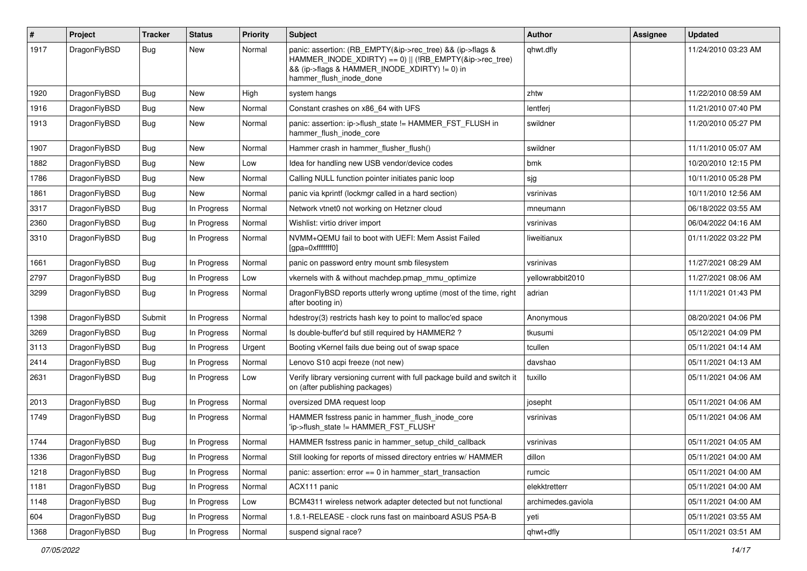| $\#$ | Project      | <b>Tracker</b> | <b>Status</b> | <b>Priority</b> | Subject                                                                                                                                                                                           | Author             | Assignee | <b>Updated</b>      |
|------|--------------|----------------|---------------|-----------------|---------------------------------------------------------------------------------------------------------------------------------------------------------------------------------------------------|--------------------|----------|---------------------|
| 1917 | DragonFlyBSD | Bug            | New           | Normal          | panic: assertion: (RB_EMPTY(&ip->rec_tree) && (ip->flags &<br>HAMMER_INODE_XDIRTY) == 0)    (!RB_EMPTY(&ip->rec_tree)<br>&& (ip->flags & HAMMER_INODE_XDIRTY) != 0) in<br>hammer_flush_inode_done | qhwt.dfly          |          | 11/24/2010 03:23 AM |
| 1920 | DragonFlyBSD | Bug            | <b>New</b>    | High            | system hangs                                                                                                                                                                                      | zhtw               |          | 11/22/2010 08:59 AM |
| 1916 | DragonFlyBSD | Bug            | <b>New</b>    | Normal          | Constant crashes on x86 64 with UFS                                                                                                                                                               | lentferj           |          | 11/21/2010 07:40 PM |
| 1913 | DragonFlyBSD | Bug            | New           | Normal          | panic: assertion: ip->flush_state != HAMMER_FST_FLUSH in<br>hammer_flush_inode_core                                                                                                               | swildner           |          | 11/20/2010 05:27 PM |
| 1907 | DragonFlyBSD | Bug            | <b>New</b>    | Normal          | Hammer crash in hammer flusher flush()                                                                                                                                                            | swildner           |          | 11/11/2010 05:07 AM |
| 1882 | DragonFlyBSD | <b>Bug</b>     | <b>New</b>    | Low             | Idea for handling new USB vendor/device codes                                                                                                                                                     | bmk                |          | 10/20/2010 12:15 PM |
| 1786 | DragonFlyBSD | Bug            | New           | Normal          | Calling NULL function pointer initiates panic loop                                                                                                                                                | sjg                |          | 10/11/2010 05:28 PM |
| 1861 | DragonFlyBSD | Bug            | New           | Normal          | panic via kprintf (lockmgr called in a hard section)                                                                                                                                              | vsrinivas          |          | 10/11/2010 12:56 AM |
| 3317 | DragonFlyBSD | <b>Bug</b>     | In Progress   | Normal          | Network vtnet0 not working on Hetzner cloud                                                                                                                                                       | mneumann           |          | 06/18/2022 03:55 AM |
| 2360 | DragonFlyBSD | <b>Bug</b>     | In Progress   | Normal          | Wishlist: virtio driver import                                                                                                                                                                    | vsrinivas          |          | 06/04/2022 04:16 AM |
| 3310 | DragonFlyBSD | Bug            | In Progress   | Normal          | NVMM+QEMU fail to boot with UEFI: Mem Assist Failed<br>[gpa=0xfffffff0]                                                                                                                           | liweitianux        |          | 01/11/2022 03:22 PM |
| 1661 | DragonFlyBSD | <b>Bug</b>     | In Progress   | Normal          | panic on password entry mount smb filesystem                                                                                                                                                      | vsrinivas          |          | 11/27/2021 08:29 AM |
| 2797 | DragonFlyBSD | <b>Bug</b>     | In Progress   | Low             | vkernels with & without machdep.pmap_mmu_optimize                                                                                                                                                 | yellowrabbit2010   |          | 11/27/2021 08:06 AM |
| 3299 | DragonFlyBSD | Bug            | In Progress   | Normal          | DragonFlyBSD reports utterly wrong uptime (most of the time, right<br>after booting in)                                                                                                           | adrian             |          | 11/11/2021 01:43 PM |
| 1398 | DragonFlyBSD | Submit         | In Progress   | Normal          | hdestroy(3) restricts hash key to point to malloc'ed space                                                                                                                                        | Anonymous          |          | 08/20/2021 04:06 PM |
| 3269 | DragonFlyBSD | <b>Bug</b>     | In Progress   | Normal          | Is double-buffer'd buf still required by HAMMER2?                                                                                                                                                 | tkusumi            |          | 05/12/2021 04:09 PM |
| 3113 | DragonFlyBSD | <b>Bug</b>     | In Progress   | Urgent          | Booting vKernel fails due being out of swap space                                                                                                                                                 | tcullen            |          | 05/11/2021 04:14 AM |
| 2414 | DragonFlyBSD | Bug            | In Progress   | Normal          | Lenovo S10 acpi freeze (not new)                                                                                                                                                                  | davshao            |          | 05/11/2021 04:13 AM |
| 2631 | DragonFlyBSD | <b>Bug</b>     | In Progress   | Low             | Verify library versioning current with full package build and switch it<br>on (after publishing packages)                                                                                         | tuxillo            |          | 05/11/2021 04:06 AM |
| 2013 | DragonFlyBSD | <b>Bug</b>     | In Progress   | Normal          | oversized DMA request loop                                                                                                                                                                        | josepht            |          | 05/11/2021 04:06 AM |
| 1749 | DragonFlyBSD | <b>Bug</b>     | In Progress   | Normal          | HAMMER fsstress panic in hammer_flush_inode_core<br>'ip->flush_state != HAMMER_FST_FLUSH'                                                                                                         | vsrinivas          |          | 05/11/2021 04:06 AM |
| 1744 | DragonFlyBSD | <b>Bug</b>     | In Progress   | Normal          | HAMMER fsstress panic in hammer_setup_child_callback                                                                                                                                              | vsrinivas          |          | 05/11/2021 04:05 AM |
| 1336 | DragonFlyBSD | <b>Bug</b>     | In Progress   | Normal          | Still looking for reports of missed directory entries w/ HAMMER                                                                                                                                   | dillon             |          | 05/11/2021 04:00 AM |
| 1218 | DragonFlyBSD | Bug            | In Progress   | Normal          | panic: assertion: $error == 0$ in hammer start transaction                                                                                                                                        | rumcic             |          | 05/11/2021 04:00 AM |
| 1181 | DragonFlyBSD | <b>Bug</b>     | In Progress   | Normal          | ACX111 panic                                                                                                                                                                                      | elekktretterr      |          | 05/11/2021 04:00 AM |
| 1148 | DragonFlyBSD | Bug            | In Progress   | Low             | BCM4311 wireless network adapter detected but not functional                                                                                                                                      | archimedes.gaviola |          | 05/11/2021 04:00 AM |
| 604  | DragonFlyBSD | Bug            | In Progress   | Normal          | 1.8.1-RELEASE - clock runs fast on mainboard ASUS P5A-B                                                                                                                                           | yeti               |          | 05/11/2021 03:55 AM |
| 1368 | DragonFlyBSD | <b>Bug</b>     | In Progress   | Normal          | suspend signal race?                                                                                                                                                                              | qhwt+dfly          |          | 05/11/2021 03:51 AM |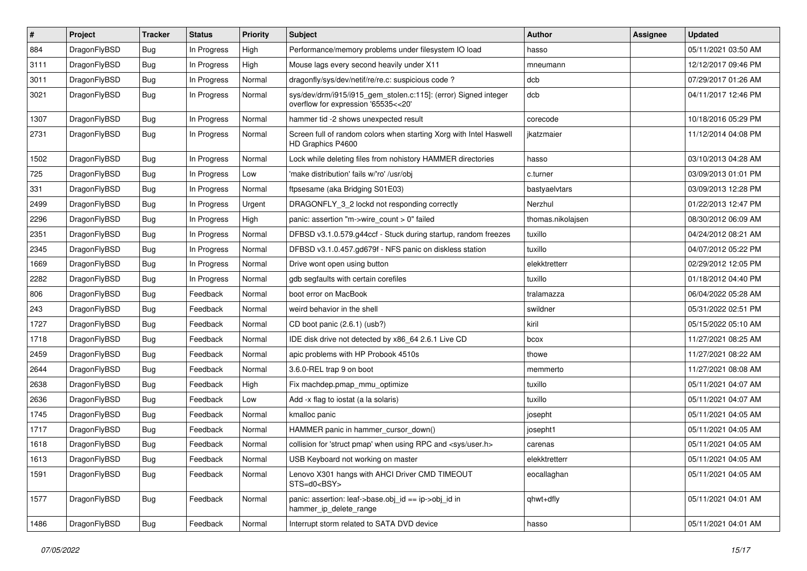| $\sharp$ | Project      | <b>Tracker</b> | <b>Status</b> | <b>Priority</b> | Subject                                                                                                | <b>Author</b>     | <b>Assignee</b> | <b>Updated</b>      |
|----------|--------------|----------------|---------------|-----------------|--------------------------------------------------------------------------------------------------------|-------------------|-----------------|---------------------|
| 884      | DragonFlyBSD | <b>Bug</b>     | In Progress   | High            | Performance/memory problems under filesystem IO load                                                   | hasso             |                 | 05/11/2021 03:50 AM |
| 3111     | DragonFlyBSD | <b>Bug</b>     | In Progress   | High            | Mouse lags every second heavily under X11                                                              | mneumann          |                 | 12/12/2017 09:46 PM |
| 3011     | DragonFlyBSD | <b>Bug</b>     | In Progress   | Normal          | dragonfly/sys/dev/netif/re/re.c: suspicious code?                                                      | dcb               |                 | 07/29/2017 01:26 AM |
| 3021     | DragonFlyBSD | <b>Bug</b>     | In Progress   | Normal          | sys/dev/drm/i915/i915_gem_stolen.c:115]: (error) Signed integer<br>overflow for expression '65535<<20' | dcb               |                 | 04/11/2017 12:46 PM |
| 1307     | DragonFlyBSD | <b>Bug</b>     | In Progress   | Normal          | hammer tid -2 shows unexpected result                                                                  | corecode          |                 | 10/18/2016 05:29 PM |
| 2731     | DragonFlyBSD | <b>Bug</b>     | In Progress   | Normal          | Screen full of random colors when starting Xorg with Intel Haswell<br>HD Graphics P4600                | ikatzmaier        |                 | 11/12/2014 04:08 PM |
| 1502     | DragonFlyBSD | <b>Bug</b>     | In Progress   | Normal          | Lock while deleting files from nohistory HAMMER directories                                            | hasso             |                 | 03/10/2013 04:28 AM |
| 725      | DragonFlyBSD | <b>Bug</b>     | In Progress   | Low             | 'make distribution' fails w/'ro' /usr/obj                                                              | c.turner          |                 | 03/09/2013 01:01 PM |
| 331      | DragonFlyBSD | <b>Bug</b>     | In Progress   | Normal          | ftpsesame (aka Bridging S01E03)                                                                        | bastyaelvtars     |                 | 03/09/2013 12:28 PM |
| 2499     | DragonFlyBSD | <b>Bug</b>     | In Progress   | Urgent          | DRAGONFLY_3_2 lockd not responding correctly                                                           | Nerzhul           |                 | 01/22/2013 12:47 PM |
| 2296     | DragonFlyBSD | <b>Bug</b>     | In Progress   | High            | panic: assertion "m->wire_count > 0" failed                                                            | thomas.nikolajsen |                 | 08/30/2012 06:09 AM |
| 2351     | DragonFlyBSD | <b>Bug</b>     | In Progress   | Normal          | DFBSD v3.1.0.579.g44ccf - Stuck during startup, random freezes                                         | tuxillo           |                 | 04/24/2012 08:21 AM |
| 2345     | DragonFlyBSD | Bug            | In Progress   | Normal          | DFBSD v3.1.0.457.gd679f - NFS panic on diskless station                                                | tuxillo           |                 | 04/07/2012 05:22 PM |
| 1669     | DragonFlyBSD | <b>Bug</b>     | In Progress   | Normal          | Drive wont open using button                                                                           | elekktretterr     |                 | 02/29/2012 12:05 PM |
| 2282     | DragonFlyBSD | <b>Bug</b>     | In Progress   | Normal          | gdb segfaults with certain corefiles                                                                   | tuxillo           |                 | 01/18/2012 04:40 PM |
| 806      | DragonFlyBSD | <b>Bug</b>     | Feedback      | Normal          | boot error on MacBook                                                                                  | tralamazza        |                 | 06/04/2022 05:28 AM |
| 243      | DragonFlyBSD | <b>Bug</b>     | Feedback      | Normal          | weird behavior in the shell                                                                            | swildner          |                 | 05/31/2022 02:51 PM |
| 1727     | DragonFlyBSD | <b>Bug</b>     | Feedback      | Normal          | CD boot panic (2.6.1) (usb?)                                                                           | kiril             |                 | 05/15/2022 05:10 AM |
| 1718     | DragonFlyBSD | <b>Bug</b>     | Feedback      | Normal          | IDE disk drive not detected by x86 64 2.6.1 Live CD                                                    | bcox              |                 | 11/27/2021 08:25 AM |
| 2459     | DragonFlyBSD | <b>Bug</b>     | Feedback      | Normal          | apic problems with HP Probook 4510s                                                                    | thowe             |                 | 11/27/2021 08:22 AM |
| 2644     | DragonFlyBSD | <b>Bug</b>     | Feedback      | Normal          | 3.6.0-REL trap 9 on boot                                                                               | memmerto          |                 | 11/27/2021 08:08 AM |
| 2638     | DragonFlyBSD | <b>Bug</b>     | Feedback      | High            | Fix machdep.pmap_mmu_optimize                                                                          | tuxillo           |                 | 05/11/2021 04:07 AM |
| 2636     | DragonFlyBSD | <b>Bug</b>     | Feedback      | Low             | Add -x flag to iostat (a la solaris)                                                                   | tuxillo           |                 | 05/11/2021 04:07 AM |
| 1745     | DragonFlyBSD | Bug            | Feedback      | Normal          | kmalloc panic                                                                                          | josepht           |                 | 05/11/2021 04:05 AM |
| 1717     | DragonFlyBSD | <b>Bug</b>     | Feedback      | Normal          | HAMMER panic in hammer_cursor_down()                                                                   | josepht1          |                 | 05/11/2021 04:05 AM |
| 1618     | DragonFlyBSD | Bug            | Feedback      | Normal          | collision for 'struct pmap' when using RPC and <sys user.h=""></sys>                                   | carenas           |                 | 05/11/2021 04:05 AM |
| 1613     | DragonFlyBSD | Bug            | Feedback      | Normal          | USB Keyboard not working on master                                                                     | elekktretterr     |                 | 05/11/2021 04:05 AM |
| 1591     | DragonFlyBSD | Bug            | Feedback      | Normal          | Lenovo X301 hangs with AHCI Driver CMD TIMEOUT<br>STS=d0 <bsy></bsy>                                   | eocallaghan       |                 | 05/11/2021 04:05 AM |
| 1577     | DragonFlyBSD | <b>Bug</b>     | Feedback      | Normal          | panic: assertion: leaf->base.obj_id == ip->obj_id in<br>hammer_ip_delete_range                         | qhwt+dfly         |                 | 05/11/2021 04:01 AM |
| 1486     | DragonFlyBSD | <b>Bug</b>     | Feedback      | Normal          | Interrupt storm related to SATA DVD device                                                             | hasso             |                 | 05/11/2021 04:01 AM |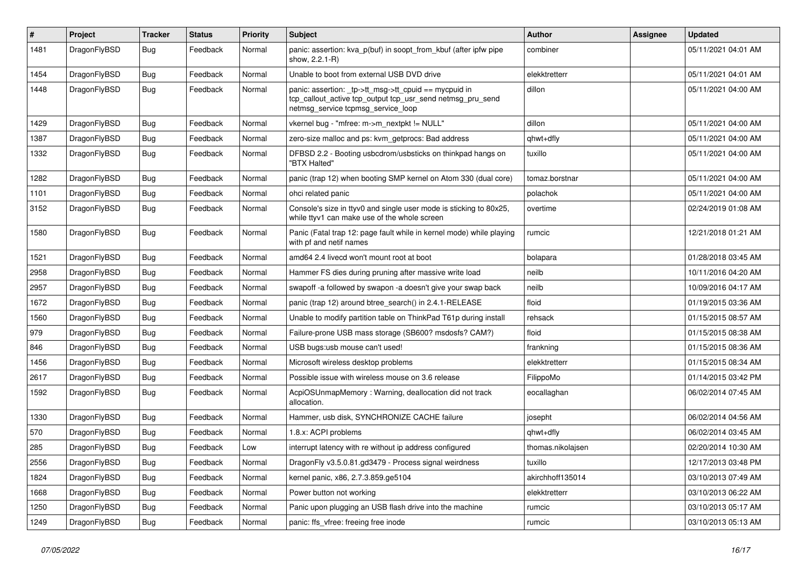| #    | Project      | <b>Tracker</b> | <b>Status</b> | <b>Priority</b> | <b>Subject</b>                                                                                                                                            | <b>Author</b>     | Assignee | <b>Updated</b>      |
|------|--------------|----------------|---------------|-----------------|-----------------------------------------------------------------------------------------------------------------------------------------------------------|-------------------|----------|---------------------|
| 1481 | DragonFlyBSD | Bug            | Feedback      | Normal          | panic: assertion: kva_p(buf) in soopt_from_kbuf (after ipfw pipe<br>show, 2.2.1-R)                                                                        | combiner          |          | 05/11/2021 04:01 AM |
| 1454 | DragonFlyBSD | <b>Bug</b>     | Feedback      | Normal          | Unable to boot from external USB DVD drive                                                                                                                | elekktretterr     |          | 05/11/2021 04:01 AM |
| 1448 | DragonFlyBSD | <b>Bug</b>     | Feedback      | Normal          | panic: assertion: _tp->tt_msg->tt_cpuid == mycpuid in<br>tcp_callout_active tcp_output tcp_usr_send netmsg_pru_send<br>netmsg service tcpmsg service loop | dillon            |          | 05/11/2021 04:00 AM |
| 1429 | DragonFlyBSD | Bug            | Feedback      | Normal          | vkernel bug - "mfree: m->m_nextpkt != NULL"                                                                                                               | dillon            |          | 05/11/2021 04:00 AM |
| 1387 | DragonFlyBSD | <b>Bug</b>     | Feedback      | Normal          | zero-size malloc and ps: kvm_getprocs: Bad address                                                                                                        | qhwt+dfly         |          | 05/11/2021 04:00 AM |
| 1332 | DragonFlyBSD | <b>Bug</b>     | Feedback      | Normal          | DFBSD 2.2 - Booting usbcdrom/usbsticks on thinkpad hangs on<br>"BTX Halted"                                                                               | tuxillo           |          | 05/11/2021 04:00 AM |
| 1282 | DragonFlyBSD | <b>Bug</b>     | Feedback      | Normal          | panic (trap 12) when booting SMP kernel on Atom 330 (dual core)                                                                                           | tomaz.borstnar    |          | 05/11/2021 04:00 AM |
| 1101 | DragonFlyBSD | <b>Bug</b>     | Feedback      | Normal          | ohci related panic                                                                                                                                        | polachok          |          | 05/11/2021 04:00 AM |
| 3152 | DragonFlyBSD | Bug            | Feedback      | Normal          | Console's size in ttyv0 and single user mode is sticking to 80x25,<br>while ttyv1 can make use of the whole screen                                        | overtime          |          | 02/24/2019 01:08 AM |
| 1580 | DragonFlyBSD | Bug            | Feedback      | Normal          | Panic (Fatal trap 12: page fault while in kernel mode) while playing<br>with pf and netif names                                                           | rumcic            |          | 12/21/2018 01:21 AM |
| 1521 | DragonFlyBSD | Bug            | Feedback      | Normal          | amd64 2.4 livecd won't mount root at boot                                                                                                                 | bolapara          |          | 01/28/2018 03:45 AM |
| 2958 | DragonFlyBSD | <b>Bug</b>     | Feedback      | Normal          | Hammer FS dies during pruning after massive write load                                                                                                    | neilb             |          | 10/11/2016 04:20 AM |
| 2957 | DragonFlyBSD | <b>Bug</b>     | Feedback      | Normal          | swapoff -a followed by swapon -a doesn't give your swap back                                                                                              | neilb             |          | 10/09/2016 04:17 AM |
| 1672 | DragonFlyBSD | <b>Bug</b>     | Feedback      | Normal          | panic (trap 12) around btree_search() in 2.4.1-RELEASE                                                                                                    | floid             |          | 01/19/2015 03:36 AM |
| 1560 | DragonFlyBSD | Bug            | Feedback      | Normal          | Unable to modify partition table on ThinkPad T61p during install                                                                                          | rehsack           |          | 01/15/2015 08:57 AM |
| 979  | DragonFlyBSD | <b>Bug</b>     | Feedback      | Normal          | Failure-prone USB mass storage (SB600? msdosfs? CAM?)                                                                                                     | floid             |          | 01/15/2015 08:38 AM |
| 846  | DragonFlyBSD | <b>Bug</b>     | Feedback      | Normal          | USB bugs:usb mouse can't used!                                                                                                                            | frankning         |          | 01/15/2015 08:36 AM |
| 1456 | DragonFlyBSD | <b>Bug</b>     | Feedback      | Normal          | Microsoft wireless desktop problems                                                                                                                       | elekktretterr     |          | 01/15/2015 08:34 AM |
| 2617 | DragonFlyBSD | <b>Bug</b>     | Feedback      | Normal          | Possible issue with wireless mouse on 3.6 release                                                                                                         | FilippoMo         |          | 01/14/2015 03:42 PM |
| 1592 | DragonFlyBSD | Bug            | Feedback      | Normal          | AcpiOSUnmapMemory: Warning, deallocation did not track<br>allocation.                                                                                     | eocallaghan       |          | 06/02/2014 07:45 AM |
| 1330 | DragonFlyBSD | Bug            | Feedback      | Normal          | Hammer, usb disk, SYNCHRONIZE CACHE failure                                                                                                               | josepht           |          | 06/02/2014 04:56 AM |
| 570  | DragonFlyBSD | Bug            | Feedback      | Normal          | 1.8.x: ACPI problems                                                                                                                                      | qhwt+dfly         |          | 06/02/2014 03:45 AM |
| 285  | DragonFlyBSD | Bug            | Feedback      | Low             | interrupt latency with re without ip address configured                                                                                                   | thomas.nikolajsen |          | 02/20/2014 10:30 AM |
| 2556 | DragonFlyBSD | <b>Bug</b>     | Feedback      | Normal          | DragonFly v3.5.0.81.gd3479 - Process signal weirdness                                                                                                     | tuxillo           |          | 12/17/2013 03:48 PM |
| 1824 | DragonFlyBSD | <b>Bug</b>     | Feedback      | Normal          | kernel panic, x86, 2.7.3.859.ge5104                                                                                                                       | akirchhoff135014  |          | 03/10/2013 07:49 AM |
| 1668 | DragonFlyBSD | <b>Bug</b>     | Feedback      | Normal          | Power button not working                                                                                                                                  | elekktretterr     |          | 03/10/2013 06:22 AM |
| 1250 | DragonFlyBSD | <b>Bug</b>     | Feedback      | Normal          | Panic upon plugging an USB flash drive into the machine                                                                                                   | rumcic            |          | 03/10/2013 05:17 AM |
| 1249 | DragonFlyBSD | <b>Bug</b>     | Feedback      | Normal          | panic: ffs vfree: freeing free inode                                                                                                                      | rumcic            |          | 03/10/2013 05:13 AM |